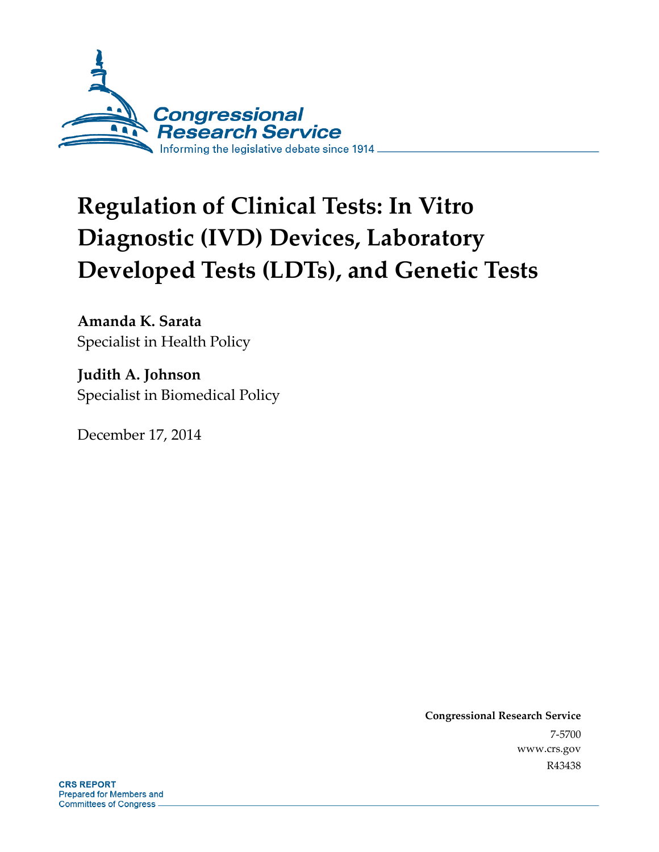

# **Regulation of Clinical Tests: In Vitro Diagnostic (IVD) Devices, Laboratory Developed Tests (LDTs), and Genetic Tests**

**Amanda K. Sarata**  Specialist in Health Policy

**Judith A. Johnson**  Specialist in Biomedical Policy

December 17, 2014

**Congressional Research Service**  7-5700 www.crs.gov R43438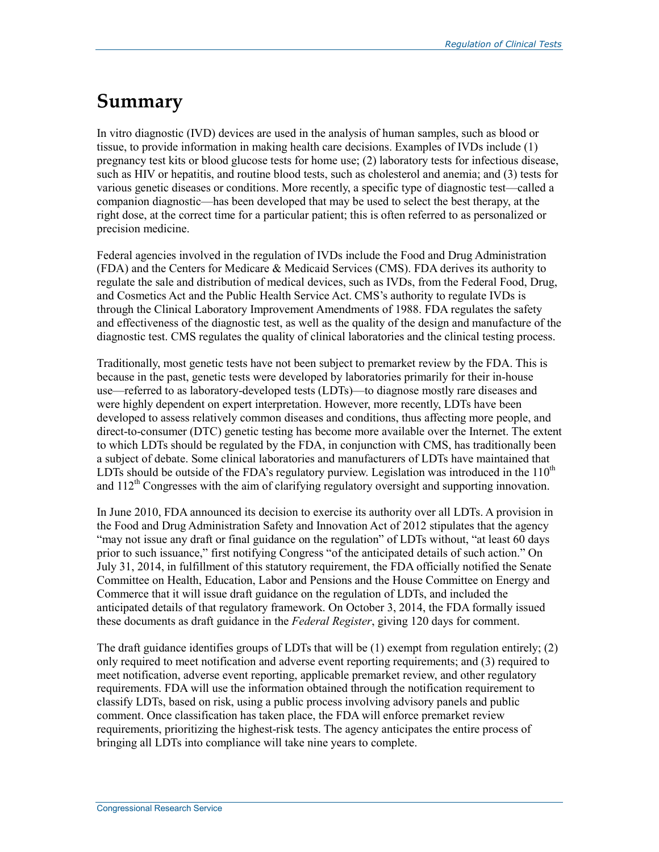### **Summary**

In vitro diagnostic (IVD) devices are used in the analysis of human samples, such as blood or tissue, to provide information in making health care decisions. Examples of IVDs include (1) pregnancy test kits or blood glucose tests for home use; (2) laboratory tests for infectious disease, such as HIV or hepatitis, and routine blood tests, such as cholesterol and anemia; and (3) tests for various genetic diseases or conditions. More recently, a specific type of diagnostic test—called a companion diagnostic—has been developed that may be used to select the best therapy, at the right dose, at the correct time for a particular patient; this is often referred to as personalized or precision medicine.

Federal agencies involved in the regulation of IVDs include the Food and Drug Administration (FDA) and the Centers for Medicare & Medicaid Services (CMS). FDA derives its authority to regulate the sale and distribution of medical devices, such as IVDs, from the Federal Food, Drug, and Cosmetics Act and the Public Health Service Act. CMS's authority to regulate IVDs is through the Clinical Laboratory Improvement Amendments of 1988. FDA regulates the safety and effectiveness of the diagnostic test, as well as the quality of the design and manufacture of the diagnostic test. CMS regulates the quality of clinical laboratories and the clinical testing process.

Traditionally, most genetic tests have not been subject to premarket review by the FDA. This is because in the past, genetic tests were developed by laboratories primarily for their in-house use—referred to as laboratory-developed tests (LDTs)—to diagnose mostly rare diseases and were highly dependent on expert interpretation. However, more recently, LDTs have been developed to assess relatively common diseases and conditions, thus affecting more people, and direct-to-consumer (DTC) genetic testing has become more available over the Internet. The extent to which LDTs should be regulated by the FDA, in conjunction with CMS, has traditionally been a subject of debate. Some clinical laboratories and manufacturers of LDTs have maintained that LDTs should be outside of the FDA's regulatory purview. Legislation was introduced in the  $110<sup>th</sup>$ and  $112<sup>th</sup>$  Congresses with the aim of clarifying regulatory oversight and supporting innovation.

In June 2010, FDA announced its decision to exercise its authority over all LDTs. A provision in the Food and Drug Administration Safety and Innovation Act of 2012 stipulates that the agency "may not issue any draft or final guidance on the regulation" of LDTs without, "at least 60 days prior to such issuance," first notifying Congress "of the anticipated details of such action." On July 31, 2014, in fulfillment of this statutory requirement, the FDA officially notified the Senate Committee on Health, Education, Labor and Pensions and the House Committee on Energy and Commerce that it will issue draft guidance on the regulation of LDTs, and included the anticipated details of that regulatory framework. On October 3, 2014, the FDA formally issued these documents as draft guidance in the *Federal Register*, giving 120 days for comment.

The draft guidance identifies groups of LDTs that will be  $(1)$  exempt from regulation entirely;  $(2)$ only required to meet notification and adverse event reporting requirements; and (3) required to meet notification, adverse event reporting, applicable premarket review, and other regulatory requirements. FDA will use the information obtained through the notification requirement to classify LDTs, based on risk, using a public process involving advisory panels and public comment. Once classification has taken place, the FDA will enforce premarket review requirements, prioritizing the highest-risk tests. The agency anticipates the entire process of bringing all LDTs into compliance will take nine years to complete.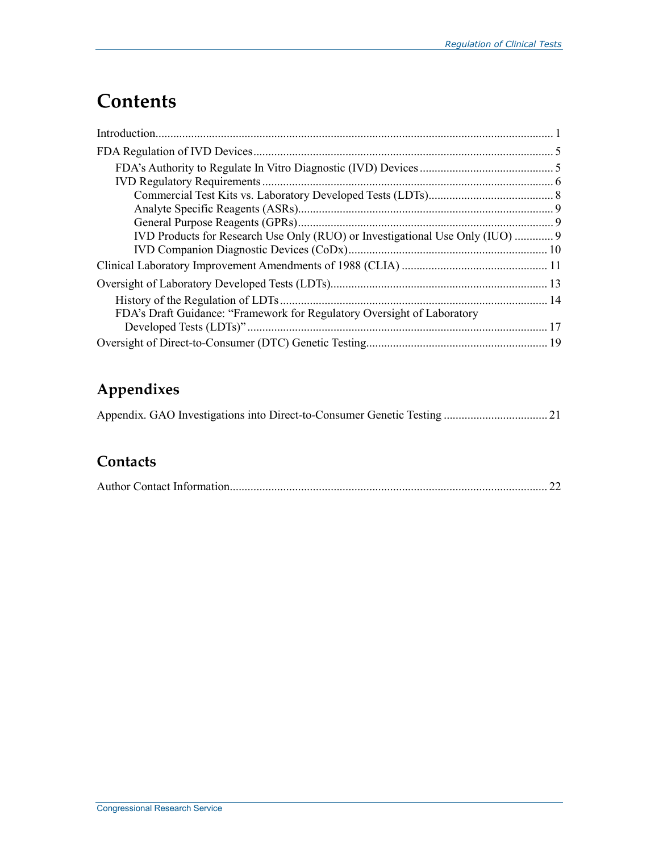## **Contents**

| IVD Products for Research Use Only (RUO) or Investigational Use Only (IUO)  9 |  |
|-------------------------------------------------------------------------------|--|
|                                                                               |  |
|                                                                               |  |
|                                                                               |  |
|                                                                               |  |
| FDA's Draft Guidance: "Framework for Regulatory Oversight of Laboratory       |  |
|                                                                               |  |
|                                                                               |  |

### **Appendixes**

|--|--|--|--|

### **Contacts**

|--|--|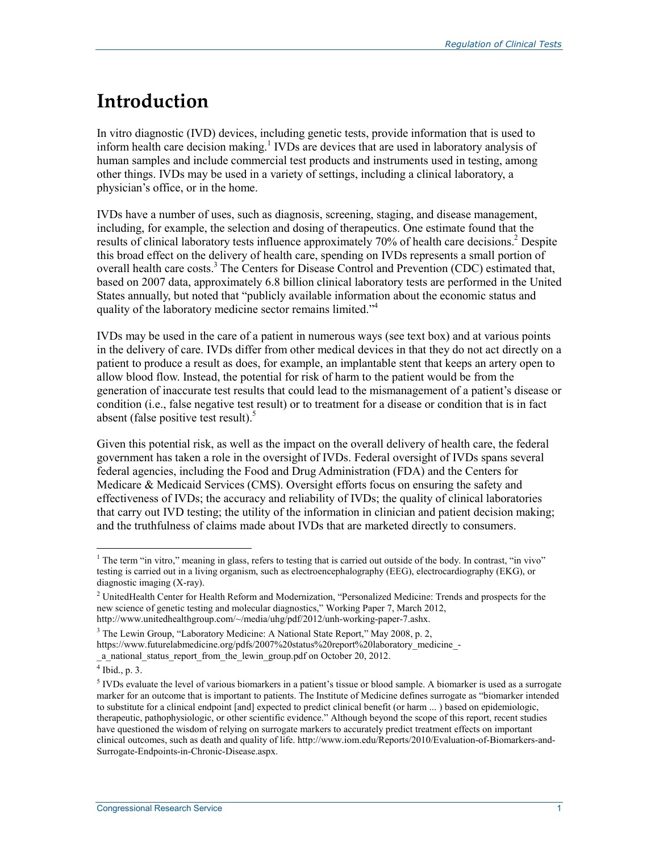## **Introduction**

In vitro diagnostic (IVD) devices, including genetic tests, provide information that is used to inform health care decision making.<sup>1</sup> IVDs are devices that are used in laboratory analysis of human samples and include commercial test products and instruments used in testing, among other things. IVDs may be used in a variety of settings, including a clinical laboratory, a physician's office, or in the home.

IVDs have a number of uses, such as diagnosis, screening, staging, and disease management, including, for example, the selection and dosing of therapeutics. One estimate found that the results of clinical laboratory tests influence approximately 70% of health care decisions.<sup>2</sup> Despite this broad effect on the delivery of health care, spending on IVDs represents a small portion of overall health care costs.<sup>3</sup> The Centers for Disease Control and Prevention (CDC) estimated that, based on 2007 data, approximately 6.8 billion clinical laboratory tests are performed in the United States annually, but noted that "publicly available information about the economic status and quality of the laboratory medicine sector remains limited."<sup>4</sup>

IVDs may be used in the care of a patient in numerous ways (see text box) and at various points in the delivery of care. IVDs differ from other medical devices in that they do not act directly on a patient to produce a result as does, for example, an implantable stent that keeps an artery open to allow blood flow. Instead, the potential for risk of harm to the patient would be from the generation of inaccurate test results that could lead to the mismanagement of a patient's disease or condition (i.e., false negative test result) or to treatment for a disease or condition that is in fact absent (false positive test result). $5$ 

Given this potential risk, as well as the impact on the overall delivery of health care, the federal government has taken a role in the oversight of IVDs. Federal oversight of IVDs spans several federal agencies, including the Food and Drug Administration (FDA) and the Centers for Medicare & Medicaid Services (CMS). Oversight efforts focus on ensuring the safety and effectiveness of IVDs; the accuracy and reliability of IVDs; the quality of clinical laboratories that carry out IVD testing; the utility of the information in clinician and patient decision making; and the truthfulness of claims made about IVDs that are marketed directly to consumers.

<sup>&</sup>lt;sup>1</sup> The term "in vitro," meaning in glass, refers to testing that is carried out outside of the body. In contrast, "in vivo" testing is carried out in a living organism, such as electroencephalography (EEG), electrocardiography (EKG), or diagnostic imaging (X-ray).

<sup>&</sup>lt;sup>2</sup> UnitedHealth Center for Health Reform and Modernization, "Personalized Medicine: Trends and prospects for the new science of genetic testing and molecular diagnostics," Working Paper 7, March 2012, http://www.unitedhealthgroup.com/~/media/uhg/pdf/2012/unh-working-paper-7.ashx.

<sup>&</sup>lt;sup>3</sup> The Lewin Group, "Laboratory Medicine: A National State Report," May 2008, p. 2, https://www.futurelabmedicine.org/pdfs/2007%20status%20report%20laboratory\_medicine\_-\_a\_national\_status\_report\_from\_the\_lewin\_group.pdf on October 20, 2012.

<sup>4</sup> Ibid., p. 3.

<sup>&</sup>lt;sup>5</sup> IVDs evaluate the level of various biomarkers in a patient's tissue or blood sample. A biomarker is used as a surrogate marker for an outcome that is important to patients. The Institute of Medicine defines surrogate as "biomarker intended to substitute for a clinical endpoint [and] expected to predict clinical benefit (or harm ... ) based on epidemiologic, therapeutic, pathophysiologic, or other scientific evidence." Although beyond the scope of this report, recent studies have questioned the wisdom of relying on surrogate markers to accurately predict treatment effects on important clinical outcomes, such as death and quality of life. http://www.iom.edu/Reports/2010/Evaluation-of-Biomarkers-and-Surrogate-Endpoints-in-Chronic-Disease.aspx.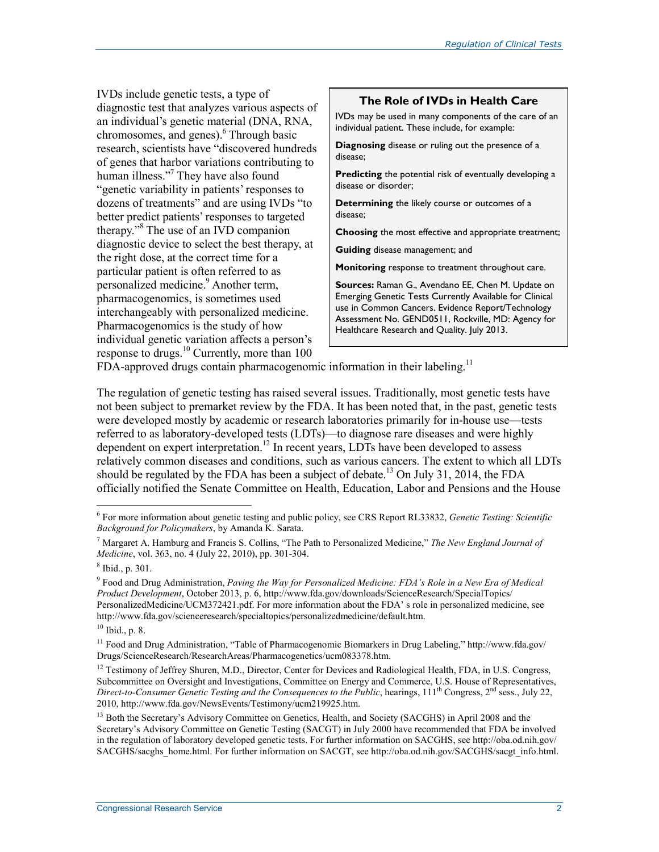IVDs include genetic tests, a type of diagnostic test that analyzes various aspects of an individual's genetic material (DNA, RNA, chromosomes, and genes).<sup>6</sup> Through basic research, scientists have "discovered hundreds of genes that harbor variations contributing to human illness."<sup>7</sup> They have also found "genetic variability in patients' responses to dozens of treatments" and are using IVDs "to better predict patients' responses to targeted therapy."<sup>8</sup> The use of an IVD companion diagnostic device to select the best therapy, at the right dose, at the correct time for a particular patient is often referred to as personalized medicine.<sup>9</sup> Another term, pharmacogenomics, is sometimes used interchangeably with personalized medicine. Pharmacogenomics is the study of how individual genetic variation affects a person's response to drugs.<sup>10</sup> Currently, more than 100

#### **The Role of IVDs in Health Care**

IVDs may be used in many components of the care of an individual patient. These include, for example:

**Diagnosing** disease or ruling out the presence of a disease;

**Predicting** the potential risk of eventually developing a disease or disorder;

**Determining** the likely course or outcomes of a disease;

**Choosing** the most effective and appropriate treatment;

**Guiding** disease management; and

**Monitoring** response to treatment throughout care.

**Sources:** Raman G., Avendano EE, Chen M. Update on Emerging Genetic Tests Currently Available for Clinical use in Common Cancers. Evidence Report/Technology Assessment No. GEND0511, Rockville, MD: Agency for Healthcare Research and Quality. July 2013.

FDA-approved drugs contain pharmacogenomic information in their labeling.<sup>11</sup>

The regulation of genetic testing has raised several issues. Traditionally, most genetic tests have not been subject to premarket review by the FDA. It has been noted that, in the past, genetic tests were developed mostly by academic or research laboratories primarily for in-house use—tests referred to as laboratory-developed tests (LDTs)—to diagnose rare diseases and were highly dependent on expert interpretation.<sup>12</sup> In recent years, LDTs have been developed to assess relatively common diseases and conditions, such as various cancers. The extent to which all LDTs should be regulated by the FDA has been a subject of debate.<sup>13</sup> On July 31, 2014, the FDA officially notified the Senate Committee on Health, Education, Labor and Pensions and the House

<sup>6</sup> For more information about genetic testing and public policy, see CRS Report RL33832, *Genetic Testing: Scientific Background for Policymakers*, by Amanda K. Sarata.

<sup>7</sup> Margaret A. Hamburg and Francis S. Collins, "The Path to Personalized Medicine," *The New England Journal of Medicine*, vol. 363, no. 4 (July 22, 2010), pp. 301-304.

<sup>8</sup> Ibid., p. 301.

<sup>9</sup> Food and Drug Administration, *Paving the Way for Personalized Medicine: FDA's Role in a New Era of Medical Product Development*, October 2013, p. 6, http://www.fda.gov/downloads/ScienceResearch/SpecialTopics/ PersonalizedMedicine/UCM372421.pdf. For more information about the FDA' s role in personalized medicine, see http://www.fda.gov/scienceresearch/specialtopics/personalizedmedicine/default.htm.

<sup>10</sup> Ibid., p. 8.

<sup>&</sup>lt;sup>11</sup> Food and Drug Administration, "Table of Pharmacogenomic Biomarkers in Drug Labeling," http://www.fda.gov/ Drugs/ScienceResearch/ResearchAreas/Pharmacogenetics/ucm083378.htm.

<sup>&</sup>lt;sup>12</sup> Testimony of Jeffrey Shuren, M.D., Director, Center for Devices and Radiological Health, FDA, in U.S. Congress, Subcommittee on Oversight and Investigations, Committee on Energy and Commerce, U.S. House of Representatives, *Direct-to-Consumer Genetic Testing and the Consequences to the Public*, hearings, 111th Congress, 2nd sess., July 22, 2010, http://www.fda.gov/NewsEvents/Testimony/ucm219925.htm.

<sup>&</sup>lt;sup>13</sup> Both the Secretary's Advisory Committee on Genetics, Health, and Society (SACGHS) in April 2008 and the Secretary's Advisory Committee on Genetic Testing (SACGT) in July 2000 have recommended that FDA be involved in the regulation of laboratory developed genetic tests. For further information on SACGHS, see http://oba.od.nih.gov/ SACGHS/sacghs\_home.html. For further information on SACGT, see http://oba.od.nih.gov/SACGHS/sacgt\_info.html.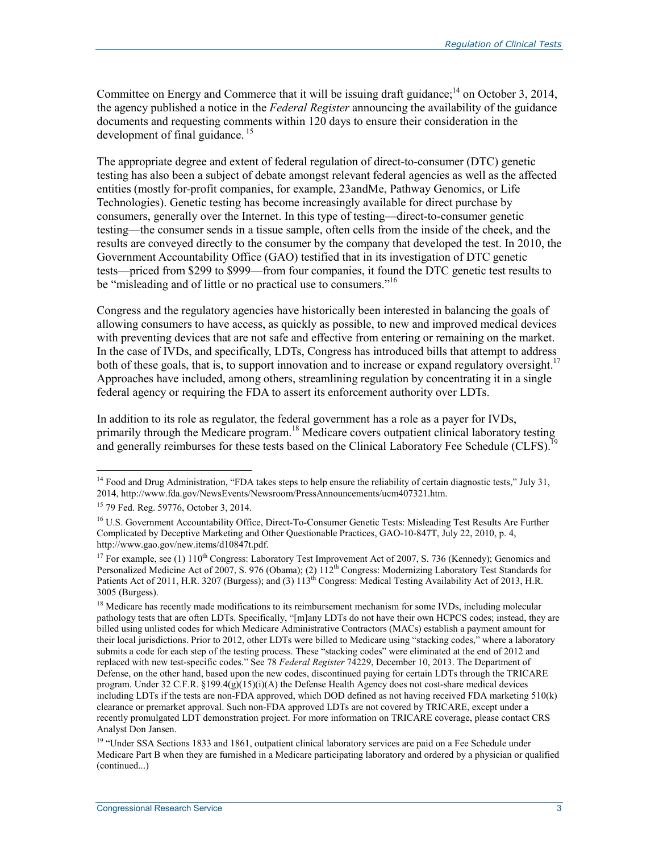Committee on Energy and Commerce that it will be issuing draft guidance;<sup>14</sup> on October 3, 2014, the agency published a notice in the *Federal Register* announcing the availability of the guidance documents and requesting comments within 120 days to ensure their consideration in the development of final guidance.<sup>15</sup>

The appropriate degree and extent of federal regulation of direct-to-consumer (DTC) genetic testing has also been a subject of debate amongst relevant federal agencies as well as the affected entities (mostly for-profit companies, for example, 23andMe, Pathway Genomics, or Life Technologies). Genetic testing has become increasingly available for direct purchase by consumers, generally over the Internet. In this type of testing—direct-to-consumer genetic testing—the consumer sends in a tissue sample, often cells from the inside of the cheek, and the results are conveyed directly to the consumer by the company that developed the test. In 2010, the Government Accountability Office (GAO) testified that in its investigation of DTC genetic tests—priced from \$299 to \$999—from four companies, it found the DTC genetic test results to be "misleading and of little or no practical use to consumers."<sup>16</sup>

Congress and the regulatory agencies have historically been interested in balancing the goals of allowing consumers to have access, as quickly as possible, to new and improved medical devices with preventing devices that are not safe and effective from entering or remaining on the market. In the case of IVDs, and specifically, LDTs, Congress has introduced bills that attempt to address both of these goals, that is, to support innovation and to increase or expand regulatory oversight.<sup>17</sup> Approaches have included, among others, streamlining regulation by concentrating it in a single federal agency or requiring the FDA to assert its enforcement authority over LDTs.

In addition to its role as regulator, the federal government has a role as a payer for IVDs, primarily through the Medicare program.<sup>18</sup> Medicare covers outpatient clinical laboratory testing and generally reimburses for these tests based on the Clinical Laboratory Fee Schedule (CLFS).<sup>1</sup>

 $14$  Food and Drug Administration, "FDA takes steps to help ensure the reliability of certain diagnostic tests," July 31, 2014, http://www.fda.gov/NewsEvents/Newsroom/PressAnnouncements/ucm407321.htm.

<sup>15 79</sup> Fed. Reg. 59776, October 3, 2014.

<sup>&</sup>lt;sup>16</sup> U.S. Government Accountability Office, Direct-To-Consumer Genetic Tests: Misleading Test Results Are Further Complicated by Deceptive Marketing and Other Questionable Practices, GAO-10-847T, July 22, 2010, p. 4, http://www.gao.gov/new.items/d10847t.pdf.

<sup>&</sup>lt;sup>17</sup> For example, see (1) 110<sup>th</sup> Congress: Laboratory Test Improvement Act of 2007, S. 736 (Kennedy); Genomics and Personalized Medicine Act of 2007, S. 976 (Obama); (2)  $112^{th}$  Congress: Modernizing Laboratory Test Standards for Patients Act of 2011, H.R. 3207 (Burgess); and (3) 113<sup>th</sup> Congress: Medical Testing Availability Act of 2013, H.R. 3005 (Burgess).

<sup>&</sup>lt;sup>18</sup> Medicare has recently made modifications to its reimbursement mechanism for some IVDs, including molecular pathology tests that are often LDTs. Specifically, "[m]any LDTs do not have their own HCPCS codes; instead, they are billed using unlisted codes for which Medicare Administrative Contractors (MACs) establish a payment amount for their local jurisdictions. Prior to 2012, other LDTs were billed to Medicare using "stacking codes," where a laboratory submits a code for each step of the testing process. These "stacking codes" were eliminated at the end of 2012 and replaced with new test-specific codes." See 78 *Federal Register* 74229, December 10, 2013. The Department of Defense, on the other hand, based upon the new codes, discontinued paying for certain LDTs through the TRICARE program. Under 32 C.F.R.  $\S199.4(g)(15)(i)$  (A) the Defense Health Agency does not cost-share medical devices including LDTs if the tests are non-FDA approved, which DOD defined as not having received FDA marketing 510(k) clearance or premarket approval. Such non-FDA approved LDTs are not covered by TRICARE, except under a recently promulgated LDT demonstration project. For more information on TRICARE coverage, please contact CRS Analyst Don Jansen.

<sup>&</sup>lt;sup>19</sup> "Under SSA Sections 1833 and 1861, outpatient clinical laboratory services are paid on a Fee Schedule under Medicare Part B when they are furnished in a Medicare participating laboratory and ordered by a physician or qualified (continued...)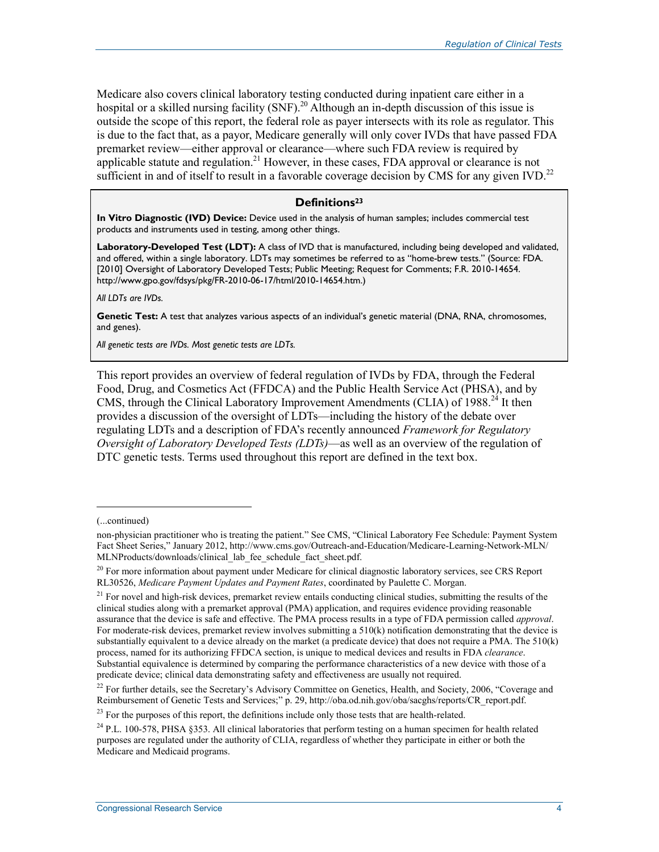Medicare also covers clinical laboratory testing conducted during inpatient care either in a hospital or a skilled nursing facility (SNF).<sup>20</sup> Although an in-depth discussion of this issue is outside the scope of this report, the federal role as payer intersects with its role as regulator. This is due to the fact that, as a payor, Medicare generally will only cover IVDs that have passed FDA premarket review—either approval or clearance—where such FDA review is required by applicable statute and regulation.<sup>21</sup> However, in these cases, FDA approval or clearance is not sufficient in and of itself to result in a favorable coverage decision by CMS for any given IVD.<sup>22</sup>

#### **Definitions23**

**In Vitro Diagnostic (IVD) Device:** Device used in the analysis of human samples; includes commercial test products and instruments used in testing, among other things.

**Laboratory-Developed Test (LDT):** A class of IVD that is manufactured, including being developed and validated, and offered, within a single laboratory. LDTs may sometimes be referred to as "home-brew tests." (Source: FDA. [2010] Oversight of Laboratory Developed Tests; Public Meeting; Request for Comments; F.R. 2010-14654. http://www.gpo.gov/fdsys/pkg/FR-2010-06-17/html/2010-14654.htm.)

*All LDTs are IVDs.* 

**Genetic Test:** A test that analyzes various aspects of an individual's genetic material (DNA, RNA, chromosomes, and genes).

*All genetic tests are IVDs. Most genetic tests are LDTs.* 

This report provides an overview of federal regulation of IVDs by FDA, through the Federal Food, Drug, and Cosmetics Act (FFDCA) and the Public Health Service Act (PHSA), and by CMS, through the Clinical Laboratory Improvement Amendments (CLIA) of 1988.<sup>24</sup> It then provides a discussion of the oversight of LDTs—including the history of the debate over regulating LDTs and a description of FDA's recently announced *Framework for Regulatory Oversight of Laboratory Developed Tests (LDTs)*—as well as an overview of the regulation of DTC genetic tests. Terms used throughout this report are defined in the text box.

<sup>(...</sup>continued)

non-physician practitioner who is treating the patient." See CMS, "Clinical Laboratory Fee Schedule: Payment System Fact Sheet Series," January 2012, http://www.cms.gov/Outreach-and-Education/Medicare-Learning-Network-MLN/ MLNProducts/downloads/clinical\_lab\_fee\_schedule\_fact\_sheet.pdf.

 $^{20}$  For more information about payment under Medicare for clinical diagnostic laboratory services, see CRS Report RL30526, *Medicare Payment Updates and Payment Rates*, coordinated by Paulette C. Morgan.

 $21$  For novel and high-risk devices, premarket review entails conducting clinical studies, submitting the results of the clinical studies along with a premarket approval (PMA) application, and requires evidence providing reasonable assurance that the device is safe and effective. The PMA process results in a type of FDA permission called *approval*. For moderate-risk devices, premarket review involves submitting a 510(k) notification demonstrating that the device is substantially equivalent to a device already on the market (a predicate device) that does not require a PMA. The 510(k) process, named for its authorizing FFDCA section, is unique to medical devices and results in FDA *clearance*. Substantial equivalence is determined by comparing the performance characteristics of a new device with those of a predicate device; clinical data demonstrating safety and effectiveness are usually not required.

<sup>&</sup>lt;sup>22</sup> For further details, see the Secretary's Advisory Committee on Genetics, Health, and Society, 2006, "Coverage and Reimbursement of Genetic Tests and Services;" p. 29, http://oba.od.nih.gov/oba/sacghs/reports/CR\_report.pdf.

 $^{23}$  For the purposes of this report, the definitions include only those tests that are health-related.

<sup>&</sup>lt;sup>24</sup> P.L. 100-578, PHSA §353. All clinical laboratories that perform testing on a human specimen for health related purposes are regulated under the authority of CLIA, regardless of whether they participate in either or both the Medicare and Medicaid programs.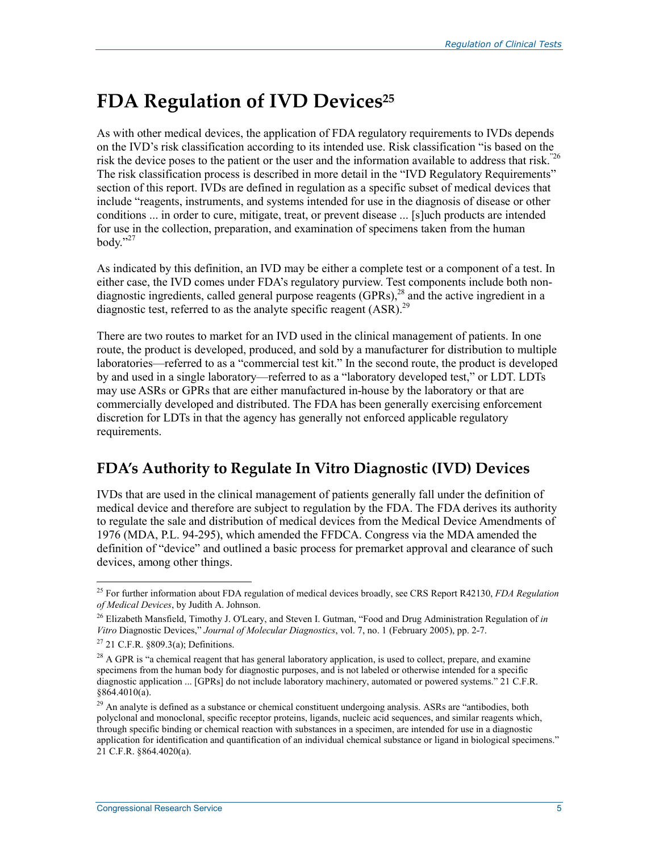## **FDA Regulation of IVD Devices**<sup>25</sup>

As with other medical devices, the application of FDA regulatory requirements to IVDs depends on the IVD's risk classification according to its intended use. Risk classification "is based on the risk the device poses to the patient or the user and the information available to address that risk."26 The risk classification process is described in more detail in the "IVD Regulatory Requirements" section of this report. IVDs are defined in regulation as a specific subset of medical devices that include "reagents, instruments, and systems intended for use in the diagnosis of disease or other conditions ... in order to cure, mitigate, treat, or prevent disease ... [s]uch products are intended for use in the collection, preparation, and examination of specimens taken from the human body." $^{27}$ 

As indicated by this definition, an IVD may be either a complete test or a component of a test. In either case, the IVD comes under FDA's regulatory purview. Test components include both nondiagnostic ingredients, called general purpose reagents (GPRs),<sup>28</sup> and the active ingredient in a diagnostic test, referred to as the analyte specific reagent  $(ASR)$ <sup>29</sup>

There are two routes to market for an IVD used in the clinical management of patients. In one route, the product is developed, produced, and sold by a manufacturer for distribution to multiple laboratories—referred to as a "commercial test kit." In the second route, the product is developed by and used in a single laboratory—referred to as a "laboratory developed test," or LDT. LDTs may use ASRs or GPRs that are either manufactured in-house by the laboratory or that are commercially developed and distributed. The FDA has been generally exercising enforcement discretion for LDTs in that the agency has generally not enforced applicable regulatory requirements.

### **FDA's Authority to Regulate In Vitro Diagnostic (IVD) Devices**

IVDs that are used in the clinical management of patients generally fall under the definition of medical device and therefore are subject to regulation by the FDA. The FDA derives its authority to regulate the sale and distribution of medical devices from the Medical Device Amendments of 1976 (MDA, P.L. 94-295), which amended the FFDCA. Congress via the MDA amended the definition of "device" and outlined a basic process for premarket approval and clearance of such devices, among other things.

<sup>25</sup> For further information about FDA regulation of medical devices broadly, see CRS Report R42130, *FDA Regulation of Medical Devices*, by Judith A. Johnson.

<sup>26</sup> Elizabeth Mansfield, Timothy J. O'Leary, and Steven I. Gutman, "Food and Drug Administration Regulation of *in Vitro* Diagnostic Devices," *Journal of Molecular Diagnostics*, vol. 7, no. 1 (February 2005), pp. 2-7.

 $27$  21 C.F.R. §809.3(a); Definitions.

<sup>&</sup>lt;sup>28</sup> A GPR is "a chemical reagent that has general laboratory application, is used to collect, prepare, and examine specimens from the human body for diagnostic purposes, and is not labeled or otherwise intended for a specific diagnostic application ... [GPRs] do not include laboratory machinery, automated or powered systems." 21 C.F.R. §864.4010(a).

<sup>&</sup>lt;sup>29</sup> An analyte is defined as a substance or chemical constituent undergoing analysis. ASRs are "antibodies, both polyclonal and monoclonal, specific receptor proteins, ligands, nucleic acid sequences, and similar reagents which, through specific binding or chemical reaction with substances in a specimen, are intended for use in a diagnostic application for identification and quantification of an individual chemical substance or ligand in biological specimens."  $21$  C.F.R. §864.4020(a).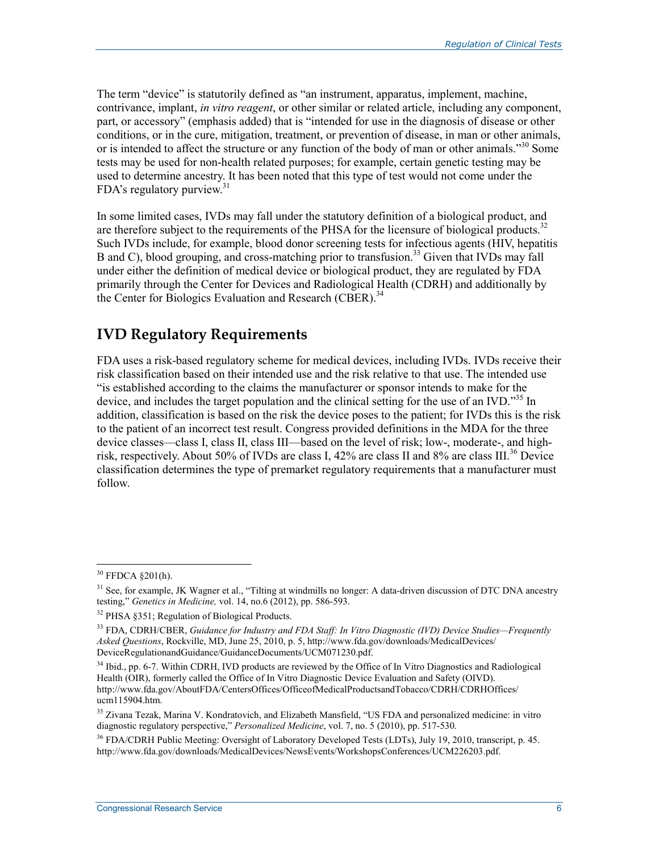The term "device" is statutorily defined as "an instrument, apparatus, implement, machine, contrivance, implant, *in vitro reagent*, or other similar or related article, including any component, part, or accessory" (emphasis added) that is "intended for use in the diagnosis of disease or other conditions, or in the cure, mitigation, treatment, or prevention of disease, in man or other animals, or is intended to affect the structure or any function of the body of man or other animals."<sup>30</sup> Some tests may be used for non-health related purposes; for example, certain genetic testing may be used to determine ancestry. It has been noted that this type of test would not come under the FDA's regulatory purview.<sup>31</sup>

In some limited cases, IVDs may fall under the statutory definition of a biological product, and are therefore subject to the requirements of the PHSA for the licensure of biological products.<sup>32</sup> Such IVDs include, for example, blood donor screening tests for infectious agents (HIV, hepatitis B and C), blood grouping, and cross-matching prior to transfusion.<sup>33</sup> Given that IVDs may fall under either the definition of medical device or biological product, they are regulated by FDA primarily through the Center for Devices and Radiological Health (CDRH) and additionally by the Center for Biologics Evaluation and Research (CBER).<sup>34</sup>

### **IVD Regulatory Requirements**

FDA uses a risk-based regulatory scheme for medical devices, including IVDs. IVDs receive their risk classification based on their intended use and the risk relative to that use. The intended use "is established according to the claims the manufacturer or sponsor intends to make for the device, and includes the target population and the clinical setting for the use of an IVD."<sup>35</sup> In addition, classification is based on the risk the device poses to the patient; for IVDs this is the risk to the patient of an incorrect test result. Congress provided definitions in the MDA for the three device classes—class I, class II, class III—based on the level of risk; low-, moderate-, and highrisk, respectively. About 50% of IVDs are class I, 42% are class II and 8% are class III.<sup>36</sup> Device classification determines the type of premarket regulatory requirements that a manufacturer must follow.

 $30$  FFDCA  $\S 201(h)$ .

<sup>&</sup>lt;sup>31</sup> See, for example, JK Wagner et al., "Tilting at windmills no longer: A data-driven discussion of DTC DNA ancestry testing," *Genetics in Medicine,* vol. 14, no.6 (2012), pp. 586-593.

<sup>32</sup> PHSA §351; Regulation of Biological Products.

<sup>33</sup> FDA, CDRH/CBER, *Guidance for Industry and FDA Staff: In Vitro Diagnostic (IVD) Device Studies—Frequently Asked Questions*, Rockville, MD, June 25, 2010, p. 5, http://www.fda.gov/downloads/MedicalDevices/ DeviceRegulationandGuidance/GuidanceDocuments/UCM071230.pdf.

<sup>&</sup>lt;sup>34</sup> Ibid., pp. 6-7. Within CDRH, IVD products are reviewed by the Office of In Vitro Diagnostics and Radiological Health (OIR), formerly called the Office of In Vitro Diagnostic Device Evaluation and Safety (OIVD). http://www.fda.gov/AboutFDA/CentersOffices/OfficeofMedicalProductsandTobacco/CDRH/CDRHOffices/ ucm115904.htm.

<sup>&</sup>lt;sup>35</sup> Zivana Tezak, Marina V. Kondratovich, and Elizabeth Mansfield, "US FDA and personalized medicine: in vitro diagnostic regulatory perspective," *Personalized Medicine*, vol. 7, no. 5 (2010), pp. 517-530.

<sup>&</sup>lt;sup>36</sup> FDA/CDRH Public Meeting: Oversight of Laboratory Developed Tests (LDTs), July 19, 2010, transcript, p. 45. http://www.fda.gov/downloads/MedicalDevices/NewsEvents/WorkshopsConferences/UCM226203.pdf.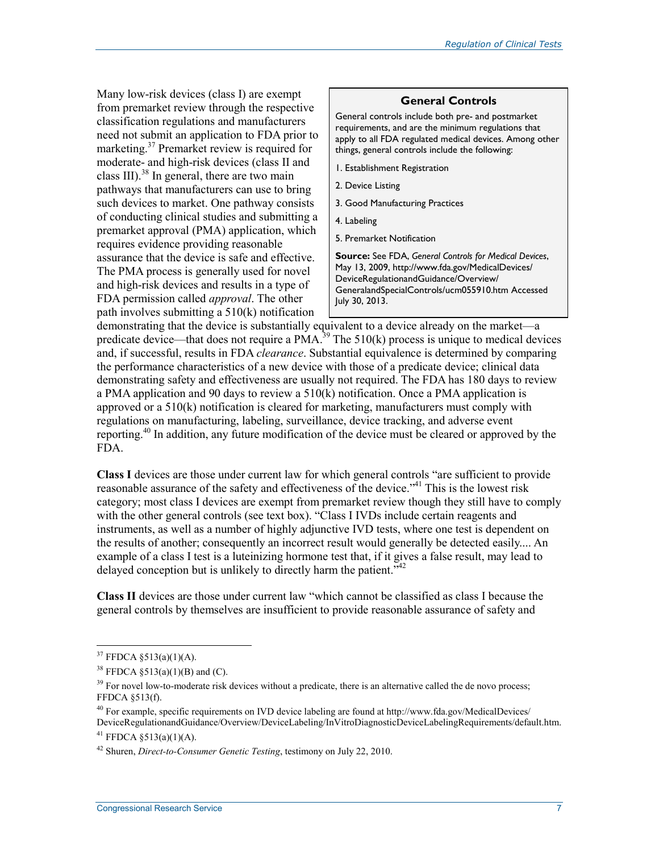Many low-risk devices (class I) are exempt from premarket review through the respective classification regulations and manufacturers need not submit an application to FDA prior to marketing.<sup>37</sup> Premarket review is required for moderate- and high-risk devices (class II and class III). $^{38}$  In general, there are two main pathways that manufacturers can use to bring such devices to market. One pathway consists of conducting clinical studies and submitting a premarket approval (PMA) application, which requires evidence providing reasonable assurance that the device is safe and effective. The PMA process is generally used for novel and high-risk devices and results in a type of FDA permission called *approval*. The other path involves submitting a 510(k) notification

#### **General Controls**

General controls include both pre- and postmarket requirements, and are the minimum regulations that apply to all FDA regulated medical devices. Among other things, general controls include the following:

- 1. Establishment Registration
- 2. Device Listing
- 3. Good Manufacturing Practices
- 4. Labeling
- 5. Premarket Notification

**Source:** See FDA, *General Controls for Medical Devices*, May 13, 2009, http://www.fda.gov/MedicalDevices/ DeviceRegulationandGuidance/Overview/ GeneralandSpecialControls/ucm055910.htm Accessed July 30, 2013.

demonstrating that the device is substantially equivalent to a device already on the market—a predicate device—that does not require a PMA.<sup>39</sup> The 510(k) process is unique to medical devices and, if successful, results in FDA *clearance*. Substantial equivalence is determined by comparing the performance characteristics of a new device with those of a predicate device; clinical data demonstrating safety and effectiveness are usually not required. The FDA has 180 days to review a PMA application and 90 days to review a 510(k) notification. Once a PMA application is approved or a 510(k) notification is cleared for marketing, manufacturers must comply with regulations on manufacturing, labeling, surveillance, device tracking, and adverse event reporting.40 In addition, any future modification of the device must be cleared or approved by the FDA.

**Class I** devices are those under current law for which general controls "are sufficient to provide reasonable assurance of the safety and effectiveness of the device."<sup>41</sup> This is the lowest risk category; most class I devices are exempt from premarket review though they still have to comply with the other general controls (see text box). "Class I IVDs include certain reagents and instruments, as well as a number of highly adjunctive IVD tests, where one test is dependent on the results of another; consequently an incorrect result would generally be detected easily.... An example of a class I test is a luteinizing hormone test that, if it gives a false result, may lead to delayed conception but is unlikely to directly harm the patient.<sup>742</sup>

**Class II** devices are those under current law "which cannot be classified as class I because the general controls by themselves are insufficient to provide reasonable assurance of safety and

 $37$  FFDCA  $$513(a)(1)(A)$ .

<sup>&</sup>lt;sup>38</sup> FFDCA §513(a)(1)(B) and (C).

 $39$  For novel low-to-moderate risk devices without a predicate, there is an alternative called the de novo process; FFDCA §513(f).

<sup>&</sup>lt;sup>40</sup> For example, specific requirements on IVD device labeling are found at http://www.fda.gov/MedicalDevices/ DeviceRegulationandGuidance/Overview/DeviceLabeling/InVitroDiagnosticDeviceLabelingRequirements/default.htm. <sup>41</sup> FFDCA  $$513(a)(1)(A)$ .

<sup>42</sup> Shuren, *Direct-to-Consumer Genetic Testing*, testimony on July 22, 2010.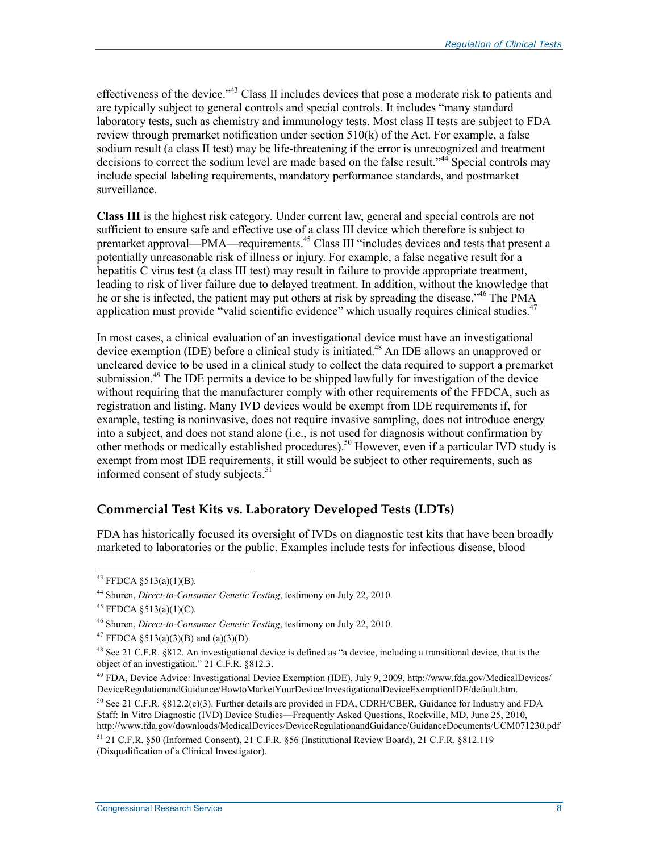effectiveness of the device."43 Class II includes devices that pose a moderate risk to patients and are typically subject to general controls and special controls. It includes "many standard laboratory tests, such as chemistry and immunology tests. Most class II tests are subject to FDA review through premarket notification under section 510(k) of the Act. For example, a false sodium result (a class II test) may be life-threatening if the error is unrecognized and treatment decisions to correct the sodium level are made based on the false result."<sup>44</sup> Special controls may include special labeling requirements, mandatory performance standards, and postmarket surveillance.

**Class III** is the highest risk category. Under current law, general and special controls are not sufficient to ensure safe and effective use of a class III device which therefore is subject to premarket approval—PMA—requirements.<sup>45</sup> Class III "includes devices and tests that present a potentially unreasonable risk of illness or injury. For example, a false negative result for a hepatitis C virus test (a class III test) may result in failure to provide appropriate treatment, leading to risk of liver failure due to delayed treatment. In addition, without the knowledge that he or she is infected, the patient may put others at risk by spreading the disease.<sup>"46</sup> The PMA application must provide "valid scientific evidence" which usually requires clinical studies.<sup>47</sup>

In most cases, a clinical evaluation of an investigational device must have an investigational device exemption (IDE) before a clinical study is initiated.<sup>48</sup> An IDE allows an unapproved or uncleared device to be used in a clinical study to collect the data required to support a premarket submission.<sup>49</sup> The IDE permits a device to be shipped lawfully for investigation of the device without requiring that the manufacturer comply with other requirements of the FFDCA, such as registration and listing. Many IVD devices would be exempt from IDE requirements if, for example, testing is noninvasive, does not require invasive sampling, does not introduce energy into a subject, and does not stand alone (i.e., is not used for diagnosis without confirmation by other methods or medically established procedures).<sup>50</sup> However, even if a particular IVD study is exempt from most IDE requirements, it still would be subject to other requirements, such as informed consent of study subjects.<sup>51</sup>

#### **Commercial Test Kits vs. Laboratory Developed Tests (LDTs)**

FDA has historically focused its oversight of IVDs on diagnostic test kits that have been broadly marketed to laboratories or the public. Examples include tests for infectious disease, blood

<sup>&</sup>lt;sup>43</sup> FFDCA  $\S 513(a)(1)(B)$ .

<sup>44</sup> Shuren, *Direct-to-Consumer Genetic Testing*, testimony on July 22, 2010.

<sup>&</sup>lt;sup>45</sup> FFDCA §513(a)(1)(C).

<sup>46</sup> Shuren, *Direct-to-Consumer Genetic Testing*, testimony on July 22, 2010.

<sup>&</sup>lt;sup>47</sup> FFDCA §513(a)(3)(B) and (a)(3)(D).

<sup>&</sup>lt;sup>48</sup> See 21 C.F.R. §812. An investigational device is defined as "a device, including a transitional device, that is the object of an investigation." 21 C.F.R. §812.3.

<sup>&</sup>lt;sup>49</sup> FDA, Device Advice: Investigational Device Exemption (IDE), July 9, 2009, http://www.fda.gov/MedicalDevices/ DeviceRegulationandGuidance/HowtoMarketYourDevice/InvestigationalDeviceExemptionIDE/default.htm.

 $50$  See 21 C.F.R. §812.2(c)(3). Further details are provided in FDA, CDRH/CBER, Guidance for Industry and FDA Staff: In Vitro Diagnostic (IVD) Device Studies—Frequently Asked Questions, Rockville, MD, June 25, 2010, http://www.fda.gov/downloads/MedicalDevices/DeviceRegulationandGuidance/GuidanceDocuments/UCM071230.pdf

<sup>51 21</sup> C.F.R. §50 (Informed Consent), 21 C.F.R. §56 (Institutional Review Board), 21 C.F.R. §812.119 (Disqualification of a Clinical Investigator).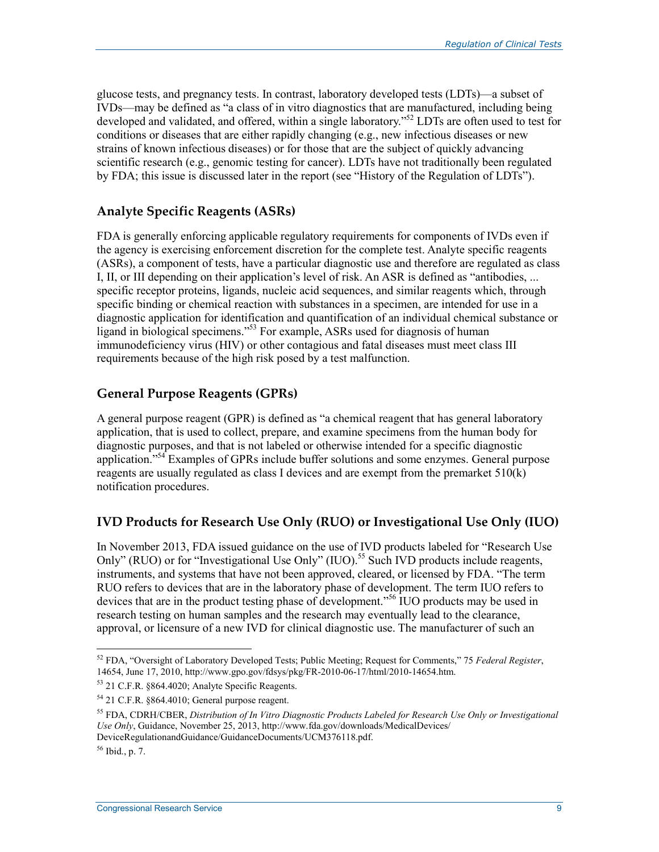glucose tests, and pregnancy tests. In contrast, laboratory developed tests (LDTs)—a subset of IVDs—may be defined as "a class of in vitro diagnostics that are manufactured, including being developed and validated, and offered, within a single laboratory."<sup>52</sup> LDTs are often used to test for conditions or diseases that are either rapidly changing (e.g., new infectious diseases or new strains of known infectious diseases) or for those that are the subject of quickly advancing scientific research (e.g., genomic testing for cancer). LDTs have not traditionally been regulated by FDA; this issue is discussed later in the report (see "History of the Regulation of LDTs").

#### **Analyte Specific Reagents (ASRs)**

FDA is generally enforcing applicable regulatory requirements for components of IVDs even if the agency is exercising enforcement discretion for the complete test. Analyte specific reagents (ASRs), a component of tests, have a particular diagnostic use and therefore are regulated as class I, II, or III depending on their application's level of risk. An ASR is defined as "antibodies, ... specific receptor proteins, ligands, nucleic acid sequences, and similar reagents which, through specific binding or chemical reaction with substances in a specimen, are intended for use in a diagnostic application for identification and quantification of an individual chemical substance or ligand in biological specimens."53 For example, ASRs used for diagnosis of human immunodeficiency virus (HIV) or other contagious and fatal diseases must meet class III requirements because of the high risk posed by a test malfunction.

#### **General Purpose Reagents (GPRs)**

A general purpose reagent (GPR) is defined as "a chemical reagent that has general laboratory application, that is used to collect, prepare, and examine specimens from the human body for diagnostic purposes, and that is not labeled or otherwise intended for a specific diagnostic application."<sup>54</sup> Examples of GPRs include buffer solutions and some enzymes. General purpose reagents are usually regulated as class I devices and are exempt from the premarket 510(k) notification procedures.

#### **IVD Products for Research Use Only (RUO) or Investigational Use Only (IUO)**

In November 2013, FDA issued guidance on the use of IVD products labeled for "Research Use Only" (RUO) or for "Investigational Use Only" (IUO).<sup>55</sup> Such IVD products include reagents, instruments, and systems that have not been approved, cleared, or licensed by FDA. "The term RUO refers to devices that are in the laboratory phase of development. The term IUO refers to devices that are in the product testing phase of development."56 IUO products may be used in research testing on human samples and the research may eventually lead to the clearance, approval, or licensure of a new IVD for clinical diagnostic use. The manufacturer of such an

<sup>52</sup> FDA, "Oversight of Laboratory Developed Tests; Public Meeting; Request for Comments," 75 *Federal Register*, 14654, June 17, 2010, http://www.gpo.gov/fdsys/pkg/FR-2010-06-17/html/2010-14654.htm.

<sup>53 21</sup> C.F.R. §864.4020; Analyte Specific Reagents.

<sup>54 21</sup> C.F.R. §864.4010; General purpose reagent.

<sup>55</sup> FDA, CDRH/CBER, *Distribution of In Vitro Diagnostic Products Labeled for Research Use Only or Investigational Use Only*, Guidance, November 25, 2013, http://www.fda.gov/downloads/MedicalDevices/ DeviceRegulationandGuidance/GuidanceDocuments/UCM376118.pdf.

 $56$  Ibid., p. 7.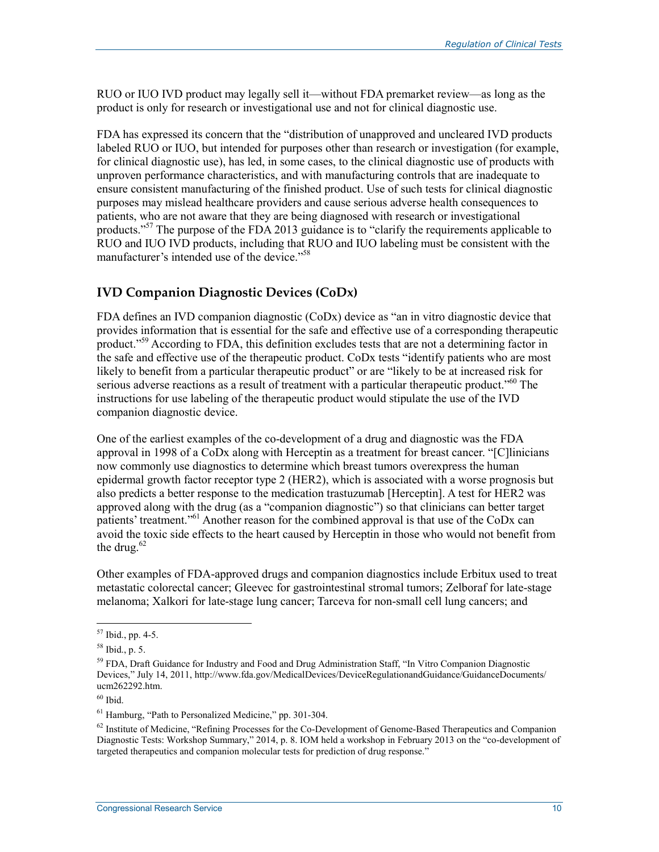RUO or IUO IVD product may legally sell it—without FDA premarket review—as long as the product is only for research or investigational use and not for clinical diagnostic use.

FDA has expressed its concern that the "distribution of unapproved and uncleared IVD products labeled RUO or IUO, but intended for purposes other than research or investigation (for example, for clinical diagnostic use), has led, in some cases, to the clinical diagnostic use of products with unproven performance characteristics, and with manufacturing controls that are inadequate to ensure consistent manufacturing of the finished product. Use of such tests for clinical diagnostic purposes may mislead healthcare providers and cause serious adverse health consequences to patients, who are not aware that they are being diagnosed with research or investigational products."<sup>57</sup> The purpose of the FDA 2013 guidance is to "clarify the requirements applicable to RUO and IUO IVD products, including that RUO and IUO labeling must be consistent with the manufacturer's intended use of the device."58

#### **IVD Companion Diagnostic Devices (CoDx)**

FDA defines an IVD companion diagnostic (CoDx) device as "an in vitro diagnostic device that provides information that is essential for the safe and effective use of a corresponding therapeutic product."59 According to FDA, this definition excludes tests that are not a determining factor in the safe and effective use of the therapeutic product. CoDx tests "identify patients who are most likely to benefit from a particular therapeutic product" or are "likely to be at increased risk for serious adverse reactions as a result of treatment with a particular therapeutic product."<sup>60</sup> The instructions for use labeling of the therapeutic product would stipulate the use of the IVD companion diagnostic device.

One of the earliest examples of the co-development of a drug and diagnostic was the FDA approval in 1998 of a CoDx along with Herceptin as a treatment for breast cancer. "[C]linicians now commonly use diagnostics to determine which breast tumors overexpress the human epidermal growth factor receptor type 2 (HER2), which is associated with a worse prognosis but also predicts a better response to the medication trastuzumab [Herceptin]. A test for HER2 was approved along with the drug (as a "companion diagnostic") so that clinicians can better target patients' treatment."<sup>61</sup> Another reason for the combined approval is that use of the CoDx can avoid the toxic side effects to the heart caused by Herceptin in those who would not benefit from the drug. $62$ 

Other examples of FDA-approved drugs and companion diagnostics include Erbitux used to treat metastatic colorectal cancer; Gleevec for gastrointestinal stromal tumors; Zelboraf for late-stage melanoma; Xalkori for late-stage lung cancer; Tarceva for non-small cell lung cancers; and

<sup>1</sup>  $57$  Ibid., pp. 4-5.

<sup>58</sup> Ibid., p. 5.

<sup>&</sup>lt;sup>59</sup> FDA, Draft Guidance for Industry and Food and Drug Administration Staff, "In Vitro Companion Diagnostic Devices," July 14, 2011, http://www.fda.gov/MedicalDevices/DeviceRegulationandGuidance/GuidanceDocuments/ ucm262292.htm.

 $60$  Ibid.

<sup>61</sup> Hamburg, "Path to Personalized Medicine," pp. 301-304.

<sup>&</sup>lt;sup>62</sup> Institute of Medicine, "Refining Processes for the Co-Development of Genome-Based Therapeutics and Companion Diagnostic Tests: Workshop Summary," 2014, p. 8. IOM held a workshop in February 2013 on the "co-development of targeted therapeutics and companion molecular tests for prediction of drug response."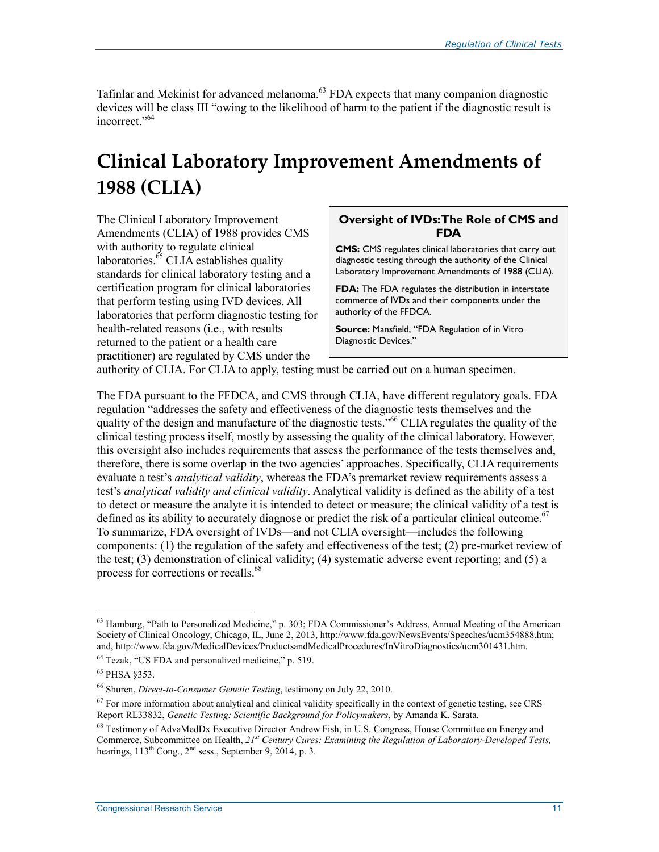Tafinlar and Mekinist for advanced melanoma.<sup>63</sup> FDA expects that many companion diagnostic devices will be class III "owing to the likelihood of harm to the patient if the diagnostic result is incorrect."64

## **Clinical Laboratory Improvement Amendments of 1988 (CLIA)**

The Clinical Laboratory Improvement Amendments (CLIA) of 1988 provides CMS with authority to regulate clinical laboratories.<sup>65</sup> CLIA establishes quality standards for clinical laboratory testing and a certification program for clinical laboratories that perform testing using IVD devices. All laboratories that perform diagnostic testing for health-related reasons (i.e., with results returned to the patient or a health care practitioner) are regulated by CMS under the

#### **Oversight of IVDs:The Role of CMS and FDA**

**CMS:** CMS regulates clinical laboratories that carry out diagnostic testing through the authority of the Clinical Laboratory Improvement Amendments of 1988 (CLIA).

**FDA:** The FDA regulates the distribution in interstate commerce of IVDs and their components under the authority of the FFDCA.

**Source:** Mansfield, "FDA Regulation of in Vitro Diagnostic Devices."

authority of CLIA. For CLIA to apply, testing must be carried out on a human specimen.

The FDA pursuant to the FFDCA, and CMS through CLIA, have different regulatory goals. FDA regulation "addresses the safety and effectiveness of the diagnostic tests themselves and the quality of the design and manufacture of the diagnostic tests.<sup>566</sup> CLIA regulates the quality of the clinical testing process itself, mostly by assessing the quality of the clinical laboratory. However, this oversight also includes requirements that assess the performance of the tests themselves and, therefore, there is some overlap in the two agencies' approaches. Specifically, CLIA requirements evaluate a test's *analytical validity*, whereas the FDA's premarket review requirements assess a test's *analytical validity and clinical validity*. Analytical validity is defined as the ability of a test to detect or measure the analyte it is intended to detect or measure; the clinical validity of a test is defined as its ability to accurately diagnose or predict the risk of a particular clinical outcome.<sup>67</sup> To summarize, FDA oversight of IVDs—and not CLIA oversight—includes the following components: (1) the regulation of the safety and effectiveness of the test; (2) pre-market review of the test; (3) demonstration of clinical validity; (4) systematic adverse event reporting; and (5) a process for corrections or recalls.<sup>68</sup>

 $63$  Hamburg, "Path to Personalized Medicine," p. 303; FDA Commissioner's Address, Annual Meeting of the American Society of Clinical Oncology, Chicago, IL, June 2, 2013, http://www.fda.gov/NewsEvents/Speeches/ucm354888.htm; and, http://www.fda.gov/MedicalDevices/ProductsandMedicalProcedures/InVitroDiagnostics/ucm301431.htm.

<sup>64</sup> Tezak, "US FDA and personalized medicine," p. 519.

<sup>65</sup> PHSA §353.

<sup>66</sup> Shuren, *Direct-to-Consumer Genetic Testing*, testimony on July 22, 2010.

 $67$  For more information about analytical and clinical validity specifically in the context of genetic testing, see CRS Report RL33832, *Genetic Testing: Scientific Background for Policymakers*, by Amanda K. Sarata.

<sup>68</sup> Testimony of AdvaMedDx Executive Director Andrew Fish, in U.S. Congress, House Committee on Energy and Commerce, Subcommittee on Health, *21st Century Cures: Examining the Regulation of Laboratory-Developed Tests,* hearings,  $113^{th}$  Cong.,  $2^{nd}$  sess., September 9, 2014, p. 3.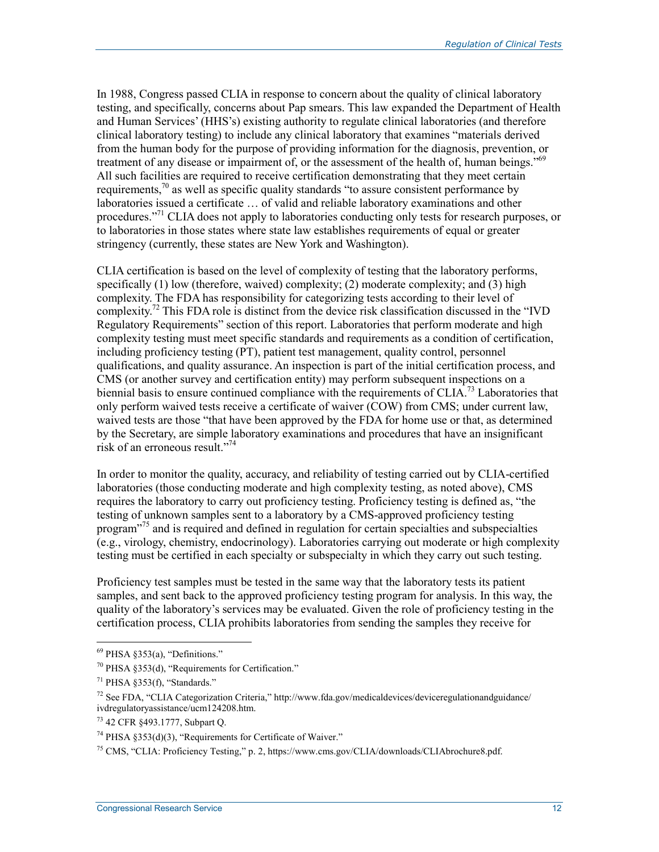In 1988, Congress passed CLIA in response to concern about the quality of clinical laboratory testing, and specifically, concerns about Pap smears. This law expanded the Department of Health and Human Services' (HHS's) existing authority to regulate clinical laboratories (and therefore clinical laboratory testing) to include any clinical laboratory that examines "materials derived from the human body for the purpose of providing information for the diagnosis, prevention, or treatment of any disease or impairment of, or the assessment of the health of, human beings."<sup>69</sup> All such facilities are required to receive certification demonstrating that they meet certain requirements, $\frac{70}{9}$  as well as specific quality standards "to assure consistent performance by laboratories issued a certificate … of valid and reliable laboratory examinations and other procedures."<sup>71</sup> CLIA does not apply to laboratories conducting only tests for research purposes, or to laboratories in those states where state law establishes requirements of equal or greater stringency (currently, these states are New York and Washington).

CLIA certification is based on the level of complexity of testing that the laboratory performs, specifically (1) low (therefore, waived) complexity; (2) moderate complexity; and (3) high complexity. The FDA has responsibility for categorizing tests according to their level of complexity.<sup>72</sup> This FDA role is distinct from the device risk classification discussed in the "IVD Regulatory Requirements" section of this report. Laboratories that perform moderate and high complexity testing must meet specific standards and requirements as a condition of certification, including proficiency testing (PT), patient test management, quality control, personnel qualifications, and quality assurance. An inspection is part of the initial certification process, and CMS (or another survey and certification entity) may perform subsequent inspections on a biennial basis to ensure continued compliance with the requirements of CLIA.<sup>73</sup> Laboratories that only perform waived tests receive a certificate of waiver (COW) from CMS; under current law, waived tests are those "that have been approved by the FDA for home use or that, as determined by the Secretary, are simple laboratory examinations and procedures that have an insignificant risk of an erroneous result."74

In order to monitor the quality, accuracy, and reliability of testing carried out by CLIA-certified laboratories (those conducting moderate and high complexity testing, as noted above), CMS requires the laboratory to carry out proficiency testing. Proficiency testing is defined as, "the testing of unknown samples sent to a laboratory by a CMS-approved proficiency testing program"75 and is required and defined in regulation for certain specialties and subspecialties (e.g., virology, chemistry, endocrinology). Laboratories carrying out moderate or high complexity testing must be certified in each specialty or subspecialty in which they carry out such testing.

Proficiency test samples must be tested in the same way that the laboratory tests its patient samples, and sent back to the approved proficiency testing program for analysis. In this way, the quality of the laboratory's services may be evaluated. Given the role of proficiency testing in the certification process, CLIA prohibits laboratories from sending the samples they receive for

 $69$  PHSA §353(a), "Definitions."

 $70$  PHSA §353(d), "Requirements for Certification."

 $71$  PHSA  $8353(f)$ , "Standards."

 $^{72}$  See FDA, "CLIA Categorization Criteria," http://www.fda.gov/medicaldevices/deviceregulationandguidance/ ivdregulatoryassistance/ucm124208.htm.

<sup>73 42</sup> CFR §493.1777, Subpart Q.

 $74$  PHSA  $§353(d)(3)$ , "Requirements for Certificate of Waiver."

<sup>75</sup> CMS, "CLIA: Proficiency Testing," p. 2, https://www.cms.gov/CLIA/downloads/CLIAbrochure8.pdf.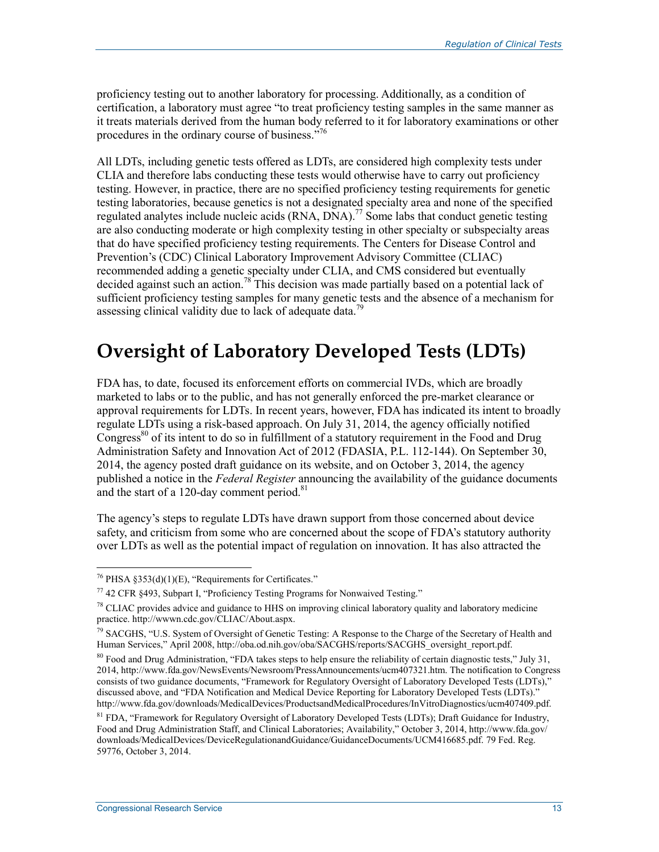proficiency testing out to another laboratory for processing. Additionally, as a condition of certification, a laboratory must agree "to treat proficiency testing samples in the same manner as it treats materials derived from the human body referred to it for laboratory examinations or other procedures in the ordinary course of business."<sup>76</sup>

All LDTs, including genetic tests offered as LDTs, are considered high complexity tests under CLIA and therefore labs conducting these tests would otherwise have to carry out proficiency testing. However, in practice, there are no specified proficiency testing requirements for genetic testing laboratories, because genetics is not a designated specialty area and none of the specified regulated analytes include nucleic acids (RNA, DNA).<sup>77</sup> Some labs that conduct genetic testing are also conducting moderate or high complexity testing in other specialty or subspecialty areas that do have specified proficiency testing requirements. The Centers for Disease Control and Prevention's (CDC) Clinical Laboratory Improvement Advisory Committee (CLIAC) recommended adding a genetic specialty under CLIA, and CMS considered but eventually decided against such an action.<sup>78</sup> This decision was made partially based on a potential lack of sufficient proficiency testing samples for many genetic tests and the absence of a mechanism for assessing clinical validity due to lack of adequate data.<sup>79</sup>

### **Oversight of Laboratory Developed Tests (LDTs)**

FDA has, to date, focused its enforcement efforts on commercial IVDs, which are broadly marketed to labs or to the public, and has not generally enforced the pre-market clearance or approval requirements for LDTs. In recent years, however, FDA has indicated its intent to broadly regulate LDTs using a risk-based approach. On July 31, 2014, the agency officially notified Congress<sup>80</sup> of its intent to do so in fulfillment of a statutory requirement in the Food and Drug Administration Safety and Innovation Act of 2012 (FDASIA, P.L. 112-144). On September 30, 2014, the agency posted draft guidance on its website, and on October 3, 2014, the agency published a notice in the *Federal Register* announcing the availability of the guidance documents and the start of a 120-day comment period. $81$ 

The agency's steps to regulate LDTs have drawn support from those concerned about device safety, and criticism from some who are concerned about the scope of FDA's statutory authority over LDTs as well as the potential impact of regulation on innovation. It has also attracted the

 $76$  PHSA §353(d)(1)(E), "Requirements for Certificates."

 $^{77}$  42 CFR 8493, Subpart I, "Proficiency Testing Programs for Nonwaived Testing."

<sup>&</sup>lt;sup>78</sup> CLIAC provides advice and guidance to HHS on improving clinical laboratory quality and laboratory medicine practice. http://wwwn.cdc.gov/CLIAC/About.aspx.

<sup>&</sup>lt;sup>79</sup> SACGHS. "U.S. System of Oversight of Genetic Testing: A Response to the Charge of the Secretary of Health and Human Services," April 2008, http://oba.od.nih.gov/oba/SACGHS/reports/SACGHS\_oversight\_report.pdf.

 $80$  Food and Drug Administration, "FDA takes steps to help ensure the reliability of certain diagnostic tests," July 31, 2014, http://www.fda.gov/NewsEvents/Newsroom/PressAnnouncements/ucm407321.htm. The notification to Congress consists of two guidance documents, "Framework for Regulatory Oversight of Laboratory Developed Tests (LDTs)," discussed above, and "FDA Notification and Medical Device Reporting for Laboratory Developed Tests (LDTs)." http://www.fda.gov/downloads/MedicalDevices/ProductsandMedicalProcedures/InVitroDiagnostics/ucm407409.pdf.

<sup>&</sup>lt;sup>81</sup> FDA, "Framework for Regulatory Oversight of Laboratory Developed Tests (LDTs); Draft Guidance for Industry, Food and Drug Administration Staff, and Clinical Laboratories; Availability," October 3, 2014, http://www.fda.gov/ downloads/MedicalDevices/DeviceRegulationandGuidance/GuidanceDocuments/UCM416685.pdf. 79 Fed. Reg. 59776, October 3, 2014.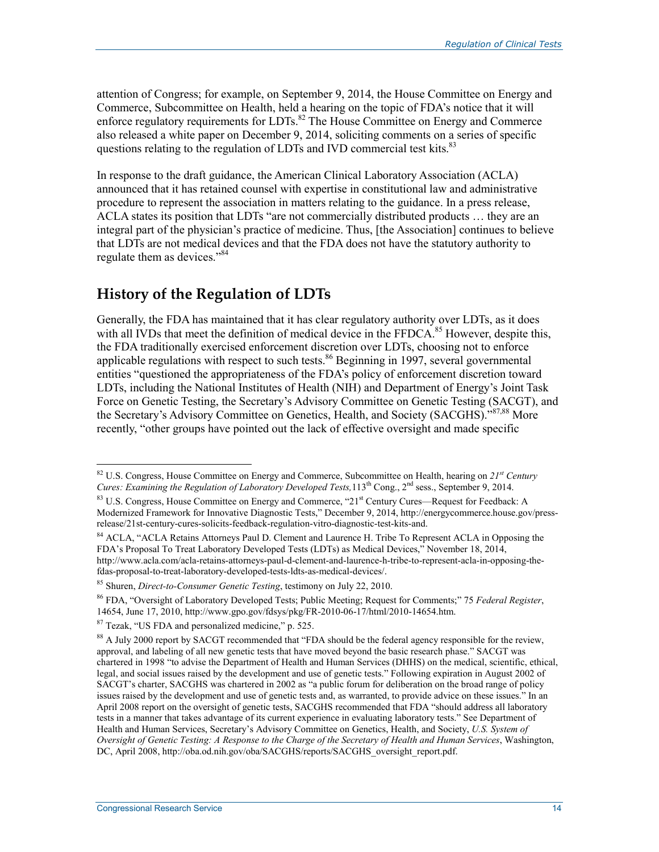attention of Congress; for example, on September 9, 2014, the House Committee on Energy and Commerce, Subcommittee on Health, held a hearing on the topic of FDA's notice that it will enforce regulatory requirements for LDTs.<sup>82</sup> The House Committee on Energy and Commerce also released a white paper on December 9, 2014, soliciting comments on a series of specific questions relating to the regulation of LDTs and IVD commercial test kits.<sup>83</sup>

In response to the draft guidance, the American Clinical Laboratory Association (ACLA) announced that it has retained counsel with expertise in constitutional law and administrative procedure to represent the association in matters relating to the guidance. In a press release, ACLA states its position that LDTs "are not commercially distributed products … they are an integral part of the physician's practice of medicine. Thus, [the Association] continues to believe that LDTs are not medical devices and that the FDA does not have the statutory authority to regulate them as devices."<sup>84</sup>

#### **History of the Regulation of LDTs**

Generally, the FDA has maintained that it has clear regulatory authority over LDTs, as it does with all IVDs that meet the definition of medical device in the FFDCA.<sup>85</sup> However, despite this, the FDA traditionally exercised enforcement discretion over LDTs, choosing not to enforce applicable regulations with respect to such tests.<sup>86</sup> Beginning in 1997, several governmental entities "questioned the appropriateness of the FDA's policy of enforcement discretion toward LDTs, including the National Institutes of Health (NIH) and Department of Energy's Joint Task Force on Genetic Testing, the Secretary's Advisory Committee on Genetic Testing (SACGT), and the Secretary's Advisory Committee on Genetics, Health, and Society (SACGHS)."87,88 More recently, "other groups have pointed out the lack of effective oversight and made specific

<sup>82</sup> U.S. Congress, House Committee on Energy and Commerce, Subcommittee on Health, hearing on *21st Century Cures: Examining the Regulation of Laboratory Developed Tests*,113<sup>th</sup> Cong., 2<sup>nd</sup> sess., September 9, 2014.

 $83$  U.S. Congress, House Committee on Energy and Commerce,  $921$ <sup>st</sup> Century Cures—Request for Feedback: A Modernized Framework for Innovative Diagnostic Tests," December 9, 2014, http://energycommerce.house.gov/pressrelease/21st-century-cures-solicits-feedback-regulation-vitro-diagnostic-test-kits-and.

<sup>&</sup>lt;sup>84</sup> ACLA, "ACLA Retains Attorneys Paul D. Clement and Laurence H. Tribe To Represent ACLA in Opposing the FDA's Proposal To Treat Laboratory Developed Tests (LDTs) as Medical Devices," November 18, 2014, http://www.acla.com/acla-retains-attorneys-paul-d-clement-and-laurence-h-tribe-to-represent-acla-in-opposing-thefdas-proposal-to-treat-laboratory-developed-tests-ldts-as-medical-devices/.

<sup>85</sup> Shuren, *Direct-to-Consumer Genetic Testing*, testimony on July 22, 2010.

<sup>86</sup> FDA, "Oversight of Laboratory Developed Tests; Public Meeting; Request for Comments;" 75 *Federal Register*, 14654, June 17, 2010, http://www.gpo.gov/fdsys/pkg/FR-2010-06-17/html/2010-14654.htm.

<sup>87</sup> Tezak, "US FDA and personalized medicine," p. 525.

<sup>&</sup>lt;sup>88</sup> A July 2000 report by SACGT recommended that "FDA should be the federal agency responsible for the review, approval, and labeling of all new genetic tests that have moved beyond the basic research phase." SACGT was chartered in 1998 "to advise the Department of Health and Human Services (DHHS) on the medical, scientific, ethical, legal, and social issues raised by the development and use of genetic tests." Following expiration in August 2002 of SACGT's charter, SACGHS was chartered in 2002 as "a public forum for deliberation on the broad range of policy issues raised by the development and use of genetic tests and, as warranted, to provide advice on these issues." In an April 2008 report on the oversight of genetic tests, SACGHS recommended that FDA "should address all laboratory tests in a manner that takes advantage of its current experience in evaluating laboratory tests." See Department of Health and Human Services, Secretary's Advisory Committee on Genetics, Health, and Society, *U.S. System of Oversight of Genetic Testing: A Response to the Charge of the Secretary of Health and Human Services*, Washington, DC, April 2008, http://oba.od.nih.gov/oba/SACGHS/reports/SACGHS\_oversight\_report.pdf.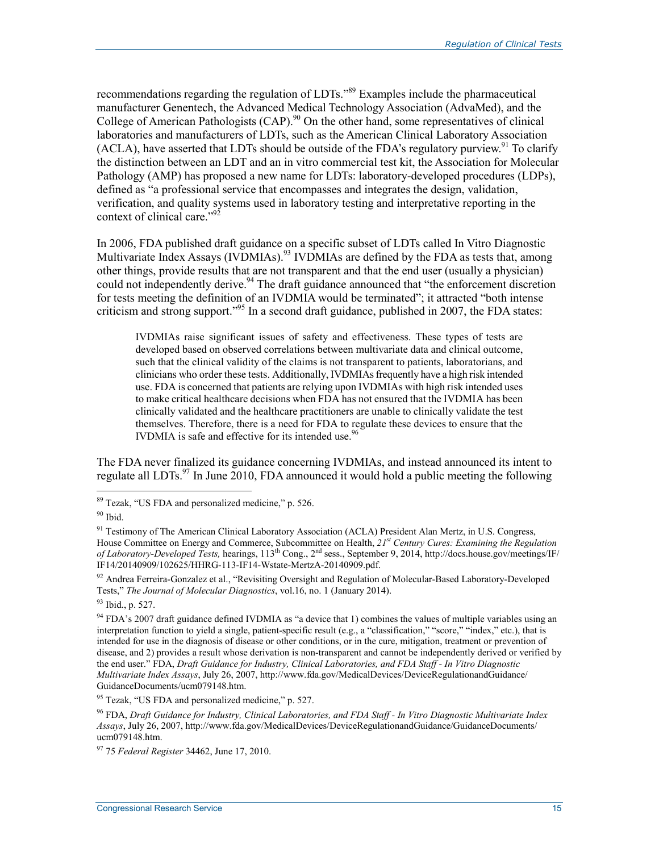recommendations regarding the regulation of LDTs."<sup>89</sup> Examples include the pharmaceutical manufacturer Genentech, the Advanced Medical Technology Association (AdvaMed), and the College of American Pathologists  $(CAP)$ <sup>90</sup> On the other hand, some representatives of clinical laboratories and manufacturers of LDTs, such as the American Clinical Laboratory Association (ACLA), have asserted that LDTs should be outside of the FDA's regulatory purview.<sup>91</sup> To clarify the distinction between an LDT and an in vitro commercial test kit, the Association for Molecular Pathology (AMP) has proposed a new name for LDTs: laboratory-developed procedures (LDPs), defined as "a professional service that encompasses and integrates the design, validation, verification, and quality systems used in laboratory testing and interpretative reporting in the context of clinical care."<sup>92</sup>

In 2006, FDA published draft guidance on a specific subset of LDTs called In Vitro Diagnostic Multivariate Index Assays (IVDMIAs).<sup>93</sup> IVDMIAs are defined by the FDA as tests that, among other things, provide results that are not transparent and that the end user (usually a physician) could not independently derive.<sup>94</sup> The draft guidance announced that "the enforcement discretion for tests meeting the definition of an IVDMIA would be terminated"; it attracted "both intense criticism and strong support."95 In a second draft guidance, published in 2007, the FDA states:

IVDMIAs raise significant issues of safety and effectiveness. These types of tests are developed based on observed correlations between multivariate data and clinical outcome, such that the clinical validity of the claims is not transparent to patients, laboratorians, and clinicians who order these tests. Additionally, IVDMIAs frequently have a high risk intended use. FDA is concerned that patients are relying upon IVDMIAs with high risk intended uses to make critical healthcare decisions when FDA has not ensured that the IVDMIA has been clinically validated and the healthcare practitioners are unable to clinically validate the test themselves. Therefore, there is a need for FDA to regulate these devices to ensure that the IVDMIA is safe and effective for its intended use.<sup>96</sup>

The FDA never finalized its guidance concerning IVDMIAs, and instead announced its intent to regulate all LDTs.<sup>97</sup> In June 2010, FDA announced it would hold a public meeting the following

<sup>&</sup>lt;sup>89</sup> Tezak, "US FDA and personalized medicine," p. 526.

 $90$  Ibid.

<sup>&</sup>lt;sup>91</sup> Testimony of The American Clinical Laboratory Association (ACLA) President Alan Mertz, in U.S. Congress, House Committee on Energy and Commerce, Subcommittee on Health, *21st Century Cures: Examining the Regulation of Laboratory-Developed Tests,* hearings, 113<sup>th</sup> Cong., 2<sup>nd</sup> sess., September 9, 2014, http://docs.house.gov/meetings/IF/<br>In the construction of the construction of the construction of the constraints of the constructio IF14/20140909/102625/HHRG-113-IF14-Wstate-MertzA-20140909.pdf.

<sup>&</sup>lt;sup>92</sup> Andrea Ferreira-Gonzalez et al., "Revisiting Oversight and Regulation of Molecular-Based Laboratory-Developed Tests," *The Journal of Molecular Diagnostics*, vol.16, no. 1 (January 2014).

<sup>93</sup> Ibid., p. 527.

<sup>&</sup>lt;sup>94</sup> FDA's 2007 draft guidance defined IVDMIA as "a device that 1) combines the values of multiple variables using an interpretation function to yield a single, patient-specific result (e.g., a "classification," "score," "index," etc.), that is intended for use in the diagnosis of disease or other conditions, or in the cure, mitigation, treatment or prevention of disease, and 2) provides a result whose derivation is non-transparent and cannot be independently derived or verified by the end user." FDA, *Draft Guidance for Industry, Clinical Laboratories, and FDA Staff - In Vitro Diagnostic Multivariate Index Assays*, July 26, 2007, http://www.fda.gov/MedicalDevices/DeviceRegulationandGuidance/ GuidanceDocuments/ucm079148.htm.

<sup>95</sup> Tezak, "US FDA and personalized medicine," p. 527.

<sup>96</sup> FDA, *Draft Guidance for Industry, Clinical Laboratories, and FDA Staff - In Vitro Diagnostic Multivariate Index Assays*, July 26, 2007, http://www.fda.gov/MedicalDevices/DeviceRegulationandGuidance/GuidanceDocuments/ ucm079148.htm.

<sup>97 75</sup> *Federal Register* 34462, June 17, 2010.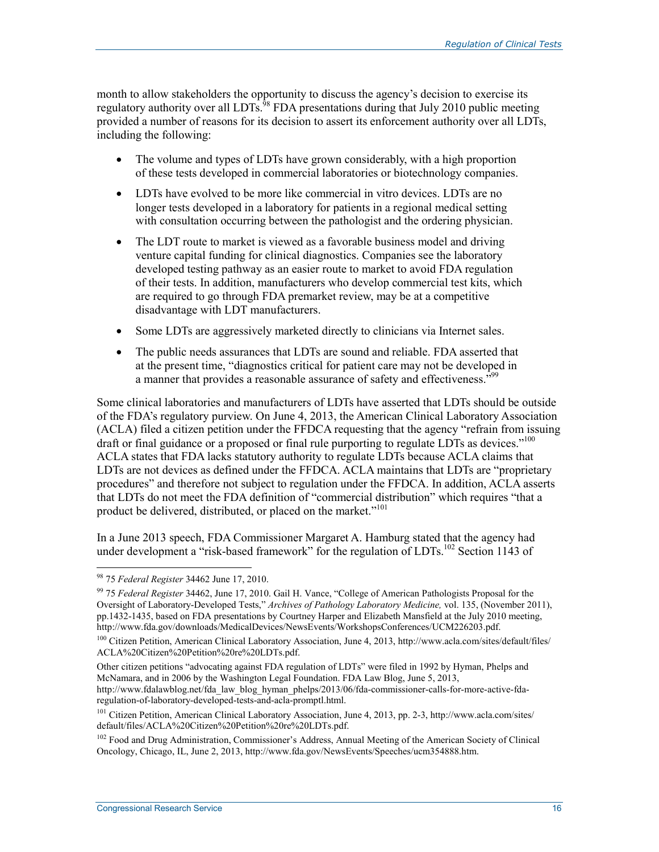month to allow stakeholders the opportunity to discuss the agency's decision to exercise its regulatory authority over all LDTs.<sup>98</sup> FDA presentations during that July 2010 public meeting provided a number of reasons for its decision to assert its enforcement authority over all LDTs, including the following:

- The volume and types of LDTs have grown considerably, with a high proportion of these tests developed in commercial laboratories or biotechnology companies.
- LDTs have evolved to be more like commercial in vitro devices. LDTs are no longer tests developed in a laboratory for patients in a regional medical setting with consultation occurring between the pathologist and the ordering physician.
- The LDT route to market is viewed as a favorable business model and driving venture capital funding for clinical diagnostics. Companies see the laboratory developed testing pathway as an easier route to market to avoid FDA regulation of their tests. In addition, manufacturers who develop commercial test kits, which are required to go through FDA premarket review, may be at a competitive disadvantage with LDT manufacturers.
- Some LDTs are aggressively marketed directly to clinicians via Internet sales.
- The public needs assurances that LDTs are sound and reliable. FDA asserted that at the present time, "diagnostics critical for patient care may not be developed in a manner that provides a reasonable assurance of safety and effectiveness.<sup>"99</sup>

Some clinical laboratories and manufacturers of LDTs have asserted that LDTs should be outside of the FDA's regulatory purview. On June 4, 2013, the American Clinical Laboratory Association (ACLA) filed a citizen petition under the FFDCA requesting that the agency "refrain from issuing draft or final guidance or a proposed or final rule purporting to regulate LDTs as devices."<sup>100</sup> ACLA states that FDA lacks statutory authority to regulate LDTs because ACLA claims that LDTs are not devices as defined under the FFDCA. ACLA maintains that LDTs are "proprietary procedures" and therefore not subject to regulation under the FFDCA. In addition, ACLA asserts that LDTs do not meet the FDA definition of "commercial distribution" which requires "that a product be delivered, distributed, or placed on the market."<sup>101</sup>

In a June 2013 speech, FDA Commissioner Margaret A. Hamburg stated that the agency had under development a "risk-based framework" for the regulation of LDTs.<sup>102</sup> Section 1143 of

1

Other citizen petitions "advocating against FDA regulation of LDTs" were filed in 1992 by Hyman, Phelps and McNamara, and in 2006 by the Washington Legal Foundation. FDA Law Blog, June 5, 2013, http://www.fdalawblog.net/fda\_law\_blog\_hyman\_phelps/2013/06/fda-commissioner-calls-for-more-active-fda-

regulation-of-laboratory-developed-tests-and-acla-promptl.html. <sup>101</sup> Citizen Petition, American Clinical Laboratory Association, June 4, 2013, pp. 2-3, http://www.acla.com/sites/ default/files/ACLA%20Citizen%20Petition%20re%20LDTs.pdf.

<sup>98 75</sup> *Federal Register* 34462 June 17, 2010.

<sup>99 75</sup> *Federal Register* 34462, June 17, 2010. Gail H. Vance, "College of American Pathologists Proposal for the Oversight of Laboratory-Developed Tests," *Archives of Pathology Laboratory Medicine,* vol. 135, (November 2011), pp.1432-1435, based on FDA presentations by Courtney Harper and Elizabeth Mansfield at the July 2010 meeting, http://www.fda.gov/downloads/MedicalDevices/NewsEvents/WorkshopsConferences/UCM226203.pdf.

<sup>&</sup>lt;sup>100</sup> Citizen Petition, American Clinical Laboratory Association, June 4, 2013, http://www.acla.com/sites/default/files/ ACLA%20Citizen%20Petition%20re%20LDTs.pdf.

<sup>&</sup>lt;sup>102</sup> Food and Drug Administration, Commissioner's Address, Annual Meeting of the American Society of Clinical Oncology, Chicago, IL, June 2, 2013, http://www.fda.gov/NewsEvents/Speeches/ucm354888.htm.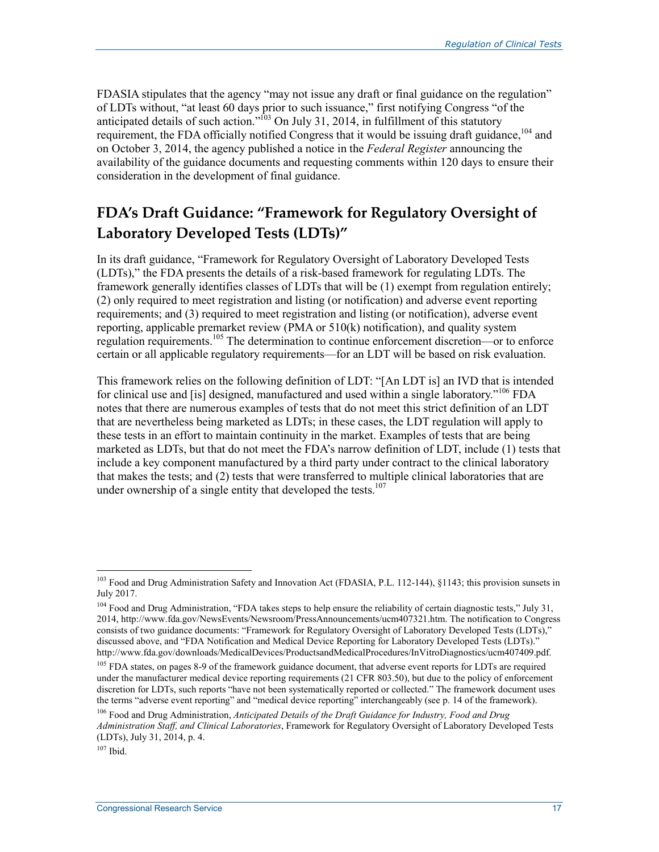FDASIA stipulates that the agency "may not issue any draft or final guidance on the regulation" of LDTs without, "at least 60 days prior to such issuance," first notifying Congress "of the anticipated details of such action."<sup>103</sup> On July 31, 2014, in fulfillment of this statutory requirement, the FDA officially notified Congress that it would be issuing draft guidance,<sup>104</sup> and on October 3, 2014, the agency published a notice in the *Federal Register* announcing the availability of the guidance documents and requesting comments within 120 days to ensure their consideration in the development of final guidance.

### **FDA's Draft Guidance: "Framework for Regulatory Oversight of Laboratory Developed Tests (LDTs)"**

In its draft guidance, "Framework for Regulatory Oversight of Laboratory Developed Tests (LDTs)," the FDA presents the details of a risk-based framework for regulating LDTs. The framework generally identifies classes of LDTs that will be (1) exempt from regulation entirely; (2) only required to meet registration and listing (or notification) and adverse event reporting requirements; and (3) required to meet registration and listing (or notification), adverse event reporting, applicable premarket review (PMA or 510(k) notification), and quality system regulation requirements.105 The determination to continue enforcement discretion—or to enforce certain or all applicable regulatory requirements—for an LDT will be based on risk evaluation.

This framework relies on the following definition of LDT: "[An LDT is] an IVD that is intended for clinical use and [is] designed, manufactured and used within a single laboratory."<sup>106</sup> FDA notes that there are numerous examples of tests that do not meet this strict definition of an LDT that are nevertheless being marketed as LDTs; in these cases, the LDT regulation will apply to these tests in an effort to maintain continuity in the market. Examples of tests that are being marketed as LDTs, but that do not meet the FDA's narrow definition of LDT, include (1) tests that include a key component manufactured by a third party under contract to the clinical laboratory that makes the tests; and (2) tests that were transferred to multiple clinical laboratories that are under ownership of a single entity that developed the tests. $107$ 

<sup>&</sup>lt;sup>103</sup> Food and Drug Administration Safety and Innovation Act (FDASIA, P.L. 112-144), §1143; this provision sunsets in July 2017.

<sup>&</sup>lt;sup>104</sup> Food and Drug Administration, "FDA takes steps to help ensure the reliability of certain diagnostic tests," July 31, 2014, http://www.fda.gov/NewsEvents/Newsroom/PressAnnouncements/ucm407321.htm. The notification to Congress consists of two guidance documents: "Framework for Regulatory Oversight of Laboratory Developed Tests (LDTs)," discussed above, and "FDA Notification and Medical Device Reporting for Laboratory Developed Tests (LDTs)." http://www.fda.gov/downloads/MedicalDevices/ProductsandMedicalProcedures/InVitroDiagnostics/ucm407409.pdf.

<sup>&</sup>lt;sup>105</sup> FDA states, on pages 8-9 of the framework guidance document, that adverse event reports for LDTs are required under the manufacturer medical device reporting requirements (21 CFR 803.50), but due to the policy of enforcement discretion for LDTs, such reports "have not been systematically reported or collected." The framework document uses the terms "adverse event reporting" and "medical device reporting" interchangeably (see p. 14 of the framework).

<sup>106</sup> Food and Drug Administration, *Anticipated Details of the Draft Guidance for Industry, Food and Drug Administration Staff, and Clinical Laboratories*, Framework for Regulatory Oversight of Laboratory Developed Tests (LDTs), July 31, 2014, p. 4.

 $107$  Ibid.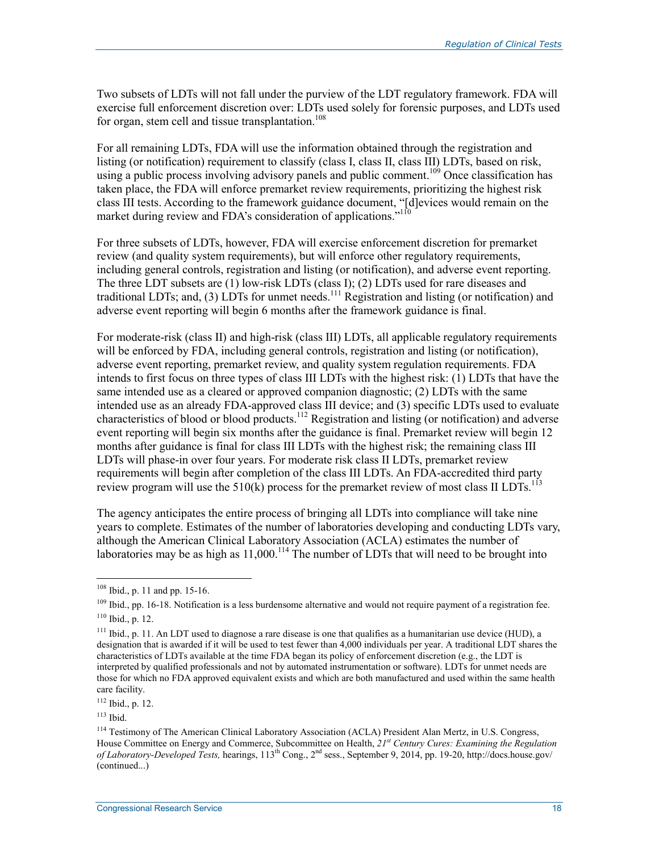Two subsets of LDTs will not fall under the purview of the LDT regulatory framework. FDA will exercise full enforcement discretion over: LDTs used solely for forensic purposes, and LDTs used for organ, stem cell and tissue transplantation.<sup>108</sup>

For all remaining LDTs, FDA will use the information obtained through the registration and listing (or notification) requirement to classify (class I, class II, class III) LDTs, based on risk, using a public process involving advisory panels and public comment.<sup>109</sup> Once classification has taken place, the FDA will enforce premarket review requirements, prioritizing the highest risk class III tests. According to the framework guidance document, "[d]evices would remain on the market during review and FDA's consideration of applications."<sup>110</sup>

For three subsets of LDTs, however, FDA will exercise enforcement discretion for premarket review (and quality system requirements), but will enforce other regulatory requirements, including general controls, registration and listing (or notification), and adverse event reporting. The three LDT subsets are (1) low-risk LDTs (class I); (2) LDTs used for rare diseases and traditional LDTs; and, (3) LDTs for unmet needs.<sup>111</sup> Registration and listing (or notification) and adverse event reporting will begin 6 months after the framework guidance is final.

For moderate-risk (class II) and high-risk (class III) LDTs, all applicable regulatory requirements will be enforced by FDA, including general controls, registration and listing (or notification), adverse event reporting, premarket review, and quality system regulation requirements. FDA intends to first focus on three types of class III LDTs with the highest risk: (1) LDTs that have the same intended use as a cleared or approved companion diagnostic; (2) LDTs with the same intended use as an already FDA-approved class III device; and (3) specific LDTs used to evaluate characteristics of blood or blood products.112 Registration and listing (or notification) and adverse event reporting will begin six months after the guidance is final. Premarket review will begin 12 months after guidance is final for class III LDTs with the highest risk; the remaining class III LDTs will phase-in over four years. For moderate risk class II LDTs, premarket review requirements will begin after completion of the class III LDTs. An FDA-accredited third party review program will use the  $510(\bar{k})$  process for the premarket review of most class II LDTs.<sup>113</sup>

The agency anticipates the entire process of bringing all LDTs into compliance will take nine years to complete. Estimates of the number of laboratories developing and conducting LDTs vary, although the American Clinical Laboratory Association (ACLA) estimates the number of laboratories may be as high as  $11,000$ .<sup>114</sup> The number of LDTs that will need to be brought into

<sup>108</sup> Ibid., p. 11 and pp. 15-16.

<sup>&</sup>lt;sup>109</sup> Ibid., pp. 16-18. Notification is a less burdensome alternative and would not require payment of a registration fee.  $110$  Ibid., p. 12.

 $111$  Ibid., p. 11. An LDT used to diagnose a rare disease is one that qualifies as a humanitarian use device (HUD), a designation that is awarded if it will be used to test fewer than 4,000 individuals per year. A traditional LDT shares the characteristics of LDTs available at the time FDA began its policy of enforcement discretion (e.g., the LDT is interpreted by qualified professionals and not by automated instrumentation or software). LDTs for unmet needs are those for which no FDA approved equivalent exists and which are both manufactured and used within the same health care facility.

<sup>112</sup> Ibid., p. 12.

<sup>113</sup> Ibid.

<sup>&</sup>lt;sup>114</sup> Testimony of The American Clinical Laboratory Association (ACLA) President Alan Mertz, in U.S. Congress, House Committee on Energy and Commerce, Subcommittee on Health, *21st Century Cures: Examining the Regulation of Laboratory-Developed Tests,* hearings, 113th Cong., 2nd sess., September 9, 2014, pp. 19-20, http://docs.house.gov/ (continued...)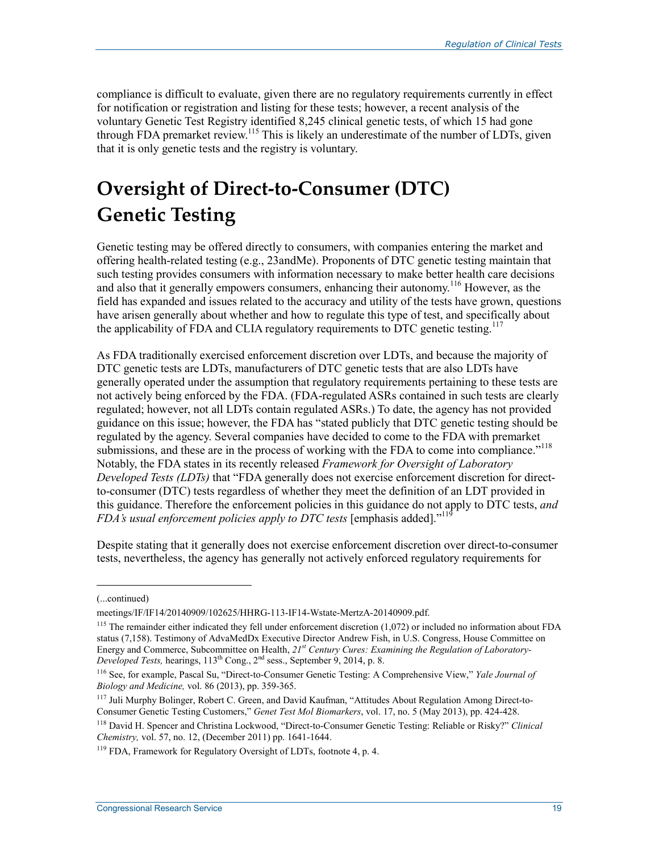compliance is difficult to evaluate, given there are no regulatory requirements currently in effect for notification or registration and listing for these tests; however, a recent analysis of the voluntary Genetic Test Registry identified 8,245 clinical genetic tests, of which 15 had gone through FDA premarket review.<sup>115</sup> This is likely an underestimate of the number of LDTs, given that it is only genetic tests and the registry is voluntary.

### **Oversight of Direct-to-Consumer (DTC) Genetic Testing**

Genetic testing may be offered directly to consumers, with companies entering the market and offering health-related testing (e.g., 23andMe). Proponents of DTC genetic testing maintain that such testing provides consumers with information necessary to make better health care decisions and also that it generally empowers consumers, enhancing their autonomy.<sup>116</sup> However, as the field has expanded and issues related to the accuracy and utility of the tests have grown, questions have arisen generally about whether and how to regulate this type of test, and specifically about the applicability of FDA and CLIA regulatory requirements to DTC genetic testing.<sup>117</sup>

As FDA traditionally exercised enforcement discretion over LDTs, and because the majority of DTC genetic tests are LDTs, manufacturers of DTC genetic tests that are also LDTs have generally operated under the assumption that regulatory requirements pertaining to these tests are not actively being enforced by the FDA. (FDA-regulated ASRs contained in such tests are clearly regulated; however, not all LDTs contain regulated ASRs.) To date, the agency has not provided guidance on this issue; however, the FDA has "stated publicly that DTC genetic testing should be regulated by the agency. Several companies have decided to come to the FDA with premarket submissions, and these are in the process of working with the FDA to come into compliance."<sup>118</sup> Notably, the FDA states in its recently released *Framework for Oversight of Laboratory Developed Tests (LDTs)* that "FDA generally does not exercise enforcement discretion for directto-consumer (DTC) tests regardless of whether they meet the definition of an LDT provided in this guidance. Therefore the enforcement policies in this guidance do not apply to DTC tests, *and FDA's usual enforcement policies apply to DTC tests* [emphasis added]."119

Despite stating that it generally does not exercise enforcement discretion over direct-to-consumer tests, nevertheless, the agency has generally not actively enforced regulatory requirements for

<sup>(...</sup>continued)

meetings/IF/IF14/20140909/102625/HHRG-113-IF14-Wstate-MertzA-20140909.pdf.

 $115$  The remainder either indicated they fell under enforcement discretion  $(1,072)$  or included no information about FDA status (7,158). Testimony of AdvaMedDx Executive Director Andrew Fish, in U.S. Congress, House Committee on Energy and Commerce, Subcommittee on Health, *21st Century Cures: Examining the Regulation of Laboratory-Developed Tests,* hearings, 113th Cong., 2nd sess., September 9, 2014, p. 8.

<sup>116</sup> See, for example, Pascal Su, "Direct-to-Consumer Genetic Testing: A Comprehensive View," *Yale Journal of Biology and Medicine,* vol. 86 (2013), pp. 359-365.

<sup>117</sup> Juli Murphy Bolinger, Robert C. Green, and David Kaufman, "Attitudes About Regulation Among Direct-to-Consumer Genetic Testing Customers," *Genet Test Mol Biomarkers*, vol. 17, no. 5 (May 2013), pp. 424-428.

<sup>118</sup> David H. Spencer and Christina Lockwood, "Direct-to-Consumer Genetic Testing: Reliable or Risky?" *Clinical Chemistry,* vol. 57, no. 12, (December 2011) pp. 1641-1644.

 $119$  FDA, Framework for Regulatory Oversight of LDTs, footnote 4, p. 4.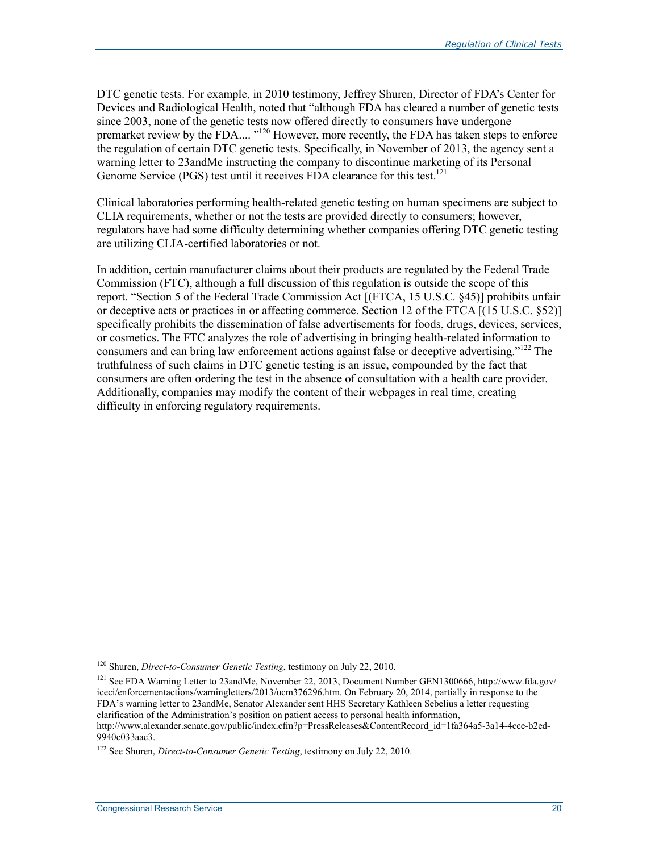DTC genetic tests. For example, in 2010 testimony, Jeffrey Shuren, Director of FDA's Center for Devices and Radiological Health, noted that "although FDA has cleared a number of genetic tests since 2003, none of the genetic tests now offered directly to consumers have undergone premarket review by the FDA....<sup>"120</sup> However, more recently, the FDA has taken steps to enforce the regulation of certain DTC genetic tests. Specifically, in November of 2013, the agency sent a warning letter to 23andMe instructing the company to discontinue marketing of its Personal Genome Service (PGS) test until it receives FDA clearance for this test.<sup>121</sup>

Clinical laboratories performing health-related genetic testing on human specimens are subject to CLIA requirements, whether or not the tests are provided directly to consumers; however, regulators have had some difficulty determining whether companies offering DTC genetic testing are utilizing CLIA-certified laboratories or not.

In addition, certain manufacturer claims about their products are regulated by the Federal Trade Commission (FTC), although a full discussion of this regulation is outside the scope of this report. "Section 5 of the Federal Trade Commission Act [(FTCA, 15 U.S.C. §45)] prohibits unfair or deceptive acts or practices in or affecting commerce. Section 12 of the FTCA [(15 U.S.C. §52)] specifically prohibits the dissemination of false advertisements for foods, drugs, devices, services, or cosmetics. The FTC analyzes the role of advertising in bringing health-related information to consumers and can bring law enforcement actions against false or deceptive advertising."<sup>122</sup> The truthfulness of such claims in DTC genetic testing is an issue, compounded by the fact that consumers are often ordering the test in the absence of consultation with a health care provider. Additionally, companies may modify the content of their webpages in real time, creating difficulty in enforcing regulatory requirements.

<sup>120</sup> Shuren, *Direct-to-Consumer Genetic Testing*, testimony on July 22, 2010.

<sup>121</sup> See FDA Warning Letter to 23andMe, November 22, 2013, Document Number GEN1300666, http://www.fda.gov/ iceci/enforcementactions/warningletters/2013/ucm376296.htm. On February 20, 2014, partially in response to the FDA's warning letter to 23andMe, Senator Alexander sent HHS Secretary Kathleen Sebelius a letter requesting clarification of the Administration's position on patient access to personal health information, http://www.alexander.senate.gov/public/index.cfm?p=PressReleases&ContentRecord\_id=1fa364a5-3a14-4cce-b2ed-9940c033aac3.

<sup>122</sup> See Shuren, *Direct-to-Consumer Genetic Testing*, testimony on July 22, 2010.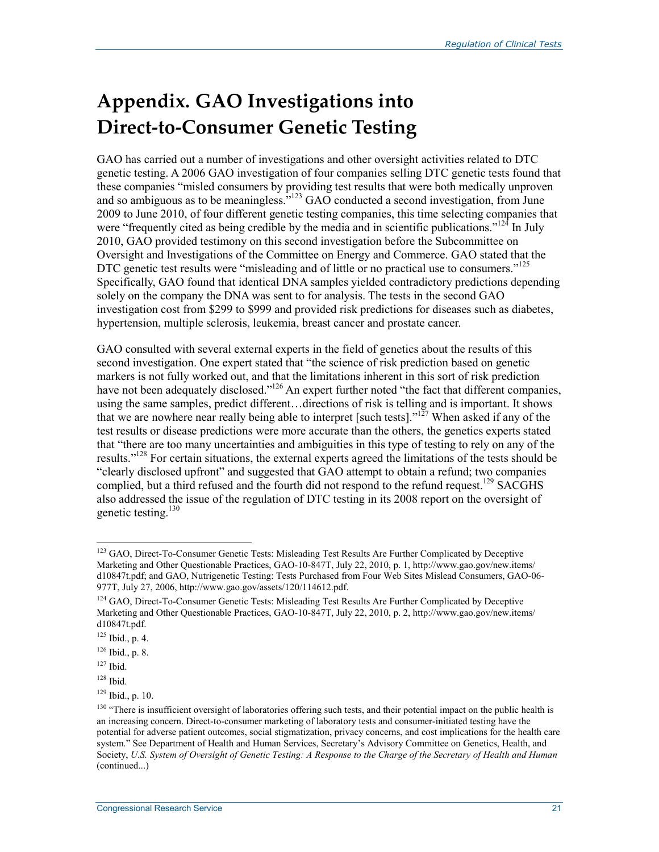## **Appendix. GAO Investigations into Direct-to-Consumer Genetic Testing**

GAO has carried out a number of investigations and other oversight activities related to DTC genetic testing. A 2006 GAO investigation of four companies selling DTC genetic tests found that these companies "misled consumers by providing test results that were both medically unproven and so ambiguous as to be meaningless."<sup>123</sup> GAO conducted a second investigation, from June 2009 to June 2010, of four different genetic testing companies, this time selecting companies that were "frequently cited as being credible by the media and in scientific publications."<sup>124</sup> In July 2010, GAO provided testimony on this second investigation before the Subcommittee on Oversight and Investigations of the Committee on Energy and Commerce. GAO stated that the DTC genetic test results were "misleading and of little or no practical use to consumers."<sup>125</sup> Specifically, GAO found that identical DNA samples yielded contradictory predictions depending solely on the company the DNA was sent to for analysis. The tests in the second GAO investigation cost from \$299 to \$999 and provided risk predictions for diseases such as diabetes, hypertension, multiple sclerosis, leukemia, breast cancer and prostate cancer.

GAO consulted with several external experts in the field of genetics about the results of this second investigation. One expert stated that "the science of risk prediction based on genetic markers is not fully worked out, and that the limitations inherent in this sort of risk prediction have not been adequately disclosed."<sup>126</sup> An expert further noted "the fact that different companies, using the same samples, predict different... directions of risk is telling and is important. It shows that we are nowhere near really being able to interpret [such tests]."127 When asked if any of the test results or disease predictions were more accurate than the others, the genetics experts stated that "there are too many uncertainties and ambiguities in this type of testing to rely on any of the results."<sup>128</sup> For certain situations, the external experts agreed the limitations of the tests should be "clearly disclosed upfront" and suggested that GAO attempt to obtain a refund; two companies complied, but a third refused and the fourth did not respond to the refund request.<sup>129</sup> SACGHS also addressed the issue of the regulation of DTC testing in its 2008 report on the oversight of genetic testing.130

<sup>&</sup>lt;sup>123</sup> GAO, Direct-To-Consumer Genetic Tests: Misleading Test Results Are Further Complicated by Deceptive Marketing and Other Questionable Practices, GAO-10-847T, July 22, 2010, p. 1, http://www.gao.gov/new.items/ d10847t.pdf; and GAO, Nutrigenetic Testing: Tests Purchased from Four Web Sites Mislead Consumers, GAO-06- 977T, July 27, 2006, http://www.gao.gov/assets/120/114612.pdf.

<sup>&</sup>lt;sup>124</sup> GAO, Direct-To-Consumer Genetic Tests: Misleading Test Results Are Further Complicated by Deceptive Marketing and Other Questionable Practices, GAO-10-847T, July 22, 2010, p. 2, http://www.gao.gov/new.items/ d10847t.pdf.

 $125$  Ibid., p. 4.

 $126$  Ibid., p. 8.

<sup>127</sup> Ibid.

<sup>128</sup> Ibid.

<sup>129</sup> Ibid., p. 10.

<sup>&</sup>lt;sup>130</sup> "There is insufficient oversight of laboratories offering such tests, and their potential impact on the public health is an increasing concern. Direct-to-consumer marketing of laboratory tests and consumer-initiated testing have the potential for adverse patient outcomes, social stigmatization, privacy concerns, and cost implications for the health care system." See Department of Health and Human Services, Secretary's Advisory Committee on Genetics, Health, and Society, *U.S. System of Oversight of Genetic Testing: A Response to the Charge of the Secretary of Health and Human*  (continued...)